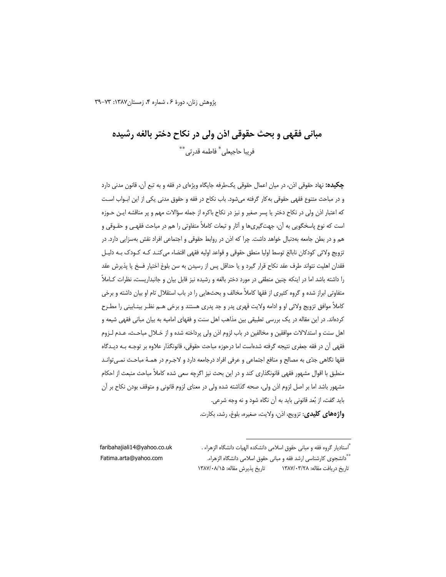یژوهش زنان، دورهٔ ۶، شماره ۴، زمستان ۱۳۸۷: ۷۳–۳۹

# مباني فقهي و بحث حقوقي اذن ولي در نكاح دختر بالغه رشيده فريبا حاجيعلى ٌ فاطمه قدرتي ٌ \*\*

**چکیده:** نهاد حقوقی اذن، در میان اعمال حقوقی یک طرفه جایگاه ویژهای در فقه و به تبع آن، قانون مدنی دارد و در مباحث متنوع فقهي حقوقي به كار گرفته ميشود. باب نكاح در فقه و حقوق مدني يكي از اين ابـواب اسـت كه اعتبار اذن ولي در نكاح دختر يا پسر صغير و نيز در نكاح باكره از جمله سؤالات مهم و پر مناقشه ايـن حـوزه است که نوع پاسخگویی به آن، جهتگیریها و آثار و تبعات کاملاً متفاوتی را هم در مباحث فقهـی و حقـوقی و هم و در بطن جامعه بهدنبال خواهد داشت. چرا که اذن در روابط حقوقی و اجتماعی افراد نقش بهسزایی دارد. در تزويج ولائي كودكان نابالغ توسط اوليا منطق حقوقي و قواعد اوليه فقهي اقتضاء مي كنـد كـه كـودك بـه دليـل فقدان اهلیت نتواند طرف عقد نکاح قرار گیرد و یا حداقل پس از رسیدن به سن بلوغ اختیار فسخ یا پذیرش عقد را داشته باشد اما در اینکه چنین منطقی در مورد دختر بالغه و رشیده نیز قابل بیان و جانبداریست، نظرات کـاملاً متفاوتی ابراز شده و گروه کثیری از فقها کاملاً مخالف و بحثهایی را در باب استقلال تام او بیان داشته و برخی كاملاً موافق تزويج ولائي او و ادامه ولايت قهري پدر و جد پدري هستند و برخي هـم نظـر بينـابيني را مطـرح کردهاند. در این مقاله در یک بررسی تطبیقی بین مذاهب اهل سنت و فقهای امامیه به بیان مبانی فقهی شیعه و اهل سنت و استدلالات موافقین و مخالفین در باب لزوم اذن ولی پرداخته شده و از خـلال مباحـث، عـدم لـزوم فقهی آن در فقه جعفری نتیجه گرفته شدهاست اما درحوزه مباحث حقوقی، قانونگذار علاوه بر توجـه بـه دیـدگاه فقها نگاهی جدّی به مصالح و منافع اجتماعی و عرفی افراد درجامعه دارد و لاجـرم در همـهٔ مباحـث نمـی توانـد منطبق با اقوال مشهور فقهی قانونگذاری کند و در این بحث نیز اگرچه سعی شده کاملاً مباحث منبعث از احکام مشهور باشد اما بر اصل لزوم اذن ولي، صحه گذاشته شده ولي در معناي لزوم قانوني و متوقف بودن نكاح بر آن بايد گفت، از بُعد قانوني بايد به آن نگاه شود و نه وجه شرعي.

واژههای کلیدی: تزویج، اذن، ولایت، صغیره، بلوغ، رشد، بکارت.

ٌّ استادیار گروه فقه و مبانی حقوق اسلامی دانشکده الهیات دانشگاه الزهراء . faribahajiali14@yahoo.co.uk Fatima.arta@yahoo.com \*\*دانشجوی کارشناسی ارشد فقه و مبانی حقوق اسلامی دانشگاه الزهراء. تاريخ پذيرش مقاله: ١٣٨٧/٠٨/١٥ تاریخ دریافت مقاله: ۱۳۸۷/۰۳/۲۸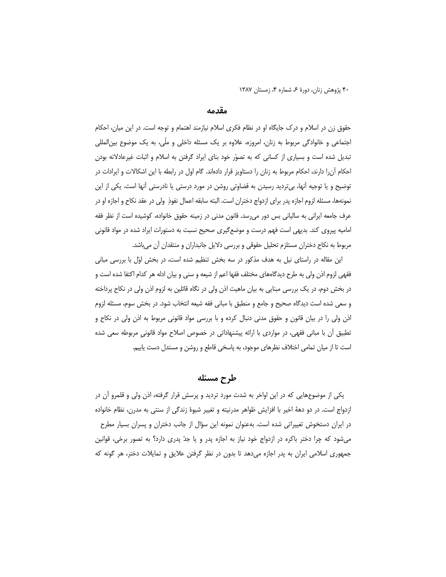### مقدمه

حقوق زن در اسلام و درک جایگاه او در نظام فکری اسلام نیازمند اهتمام و توجه است. در این میان، احکام اجتماعی و خانوادگی مربوط به زنان، امروزه، علاوه بر یک مسئله داخلی و ملّی، به یک موضوع بین|لمللی تبدیل شده است و بسیاری از کسانی که به تصوّر خود بنای ایراد گرفتن به اسلام و اثبات غیرعادلانه بودن احکام آنرا دارند، احکام مربوط به زنان را دستاویز قرار دادهاند. گام اول در رابطه با این اشکالات و ایرادات در توضیح و یا توجیه اَنها، بیتردید رسیدن به قضاوتی روشن در مورد درستی یا نادرستی اَنها است. یکی از این نمونهها، مسئله لزوم اجازه پدر براي ازدواج دختران است. البته سابقه اعمال نفوذٍ ولي در عقد نكاح و اجازه او در عرف جامعه ایرانی به سالیانی بس دور می رسد. قانون مدنی در زمینه حقوق خانواده، کوشیده است از نظر فقه امامیه پیروی کند. بدیهی است فهم درست و موضع گیری صحیح نسبت به دستورات ایراد شده در مواد قانونی مربوط به نکاح دختران مستلزم تحلیل حقوقی و بررسی دلایل جانبداران و منتقدان آن میباشد.

این مقاله در راستای نیل به هدف مذکور در سه بخش تنظیم شده است، در بخش اوّل با بررسی مبانی فقهی لزوم اذن ولی به طرح دیدگاههای مختلف فقها اعم از شیعه و سنی و بیان ادله هر کدام اکتفا شده است و در بخش دوم، در یک بررسی مبنایی به بیان ماهیت اذن ولی در نگاه قائلین به لزوم اذن ولی در نکاح پرداخته و سعی شده است دیدگاه صحیح و جامع و منطبق با مبانی فقه شیعه انتخاب شود. در بخش سوم، مسئله لزوم اذن ولی را در بیان قانون و حقوق مدنی دنبال کرده و با بررسی مواد قانونی مربوط به اذن ولی در نکاح و تطبیق أن با مبانی فقهی، در مواردی با ارائه پیشنهاداتی در خصوص اصلاح مواد قانونی مربوطه سعی شده است تا از میان تمامی اختلاف نظرهای موجود، به پاسخی قاطع و روشن و مستدل دست یابیم.

طرح مسئله

یکی از موضوعهایی که در این اواخر به شدت مورد تردید و پرسش قرار گرفته، اذن ولی و قلمرو آن در ازدواج است. در دو دههٔ اخیر با افزایش ظواهر مدرنیته و تغییر شیوهٔ زندگی از سنتی به مدرن، نظام خانواده در ایران دستخوش تغییراتی شده است. بهعنوان نمونه این سؤال از جانب دختران و پسران بسیار مطرح میشود که چرا دختر باکره در ازدواج خود نیاز به اجازه پدر و یا جدّ پدری دارد؟ به تصور برخی، قوانین جمهوری اسلامی ایران به پدر اجازه میدهد تا بدون در نظر گرفتن علایق و تمایلات دختر، هر گونه که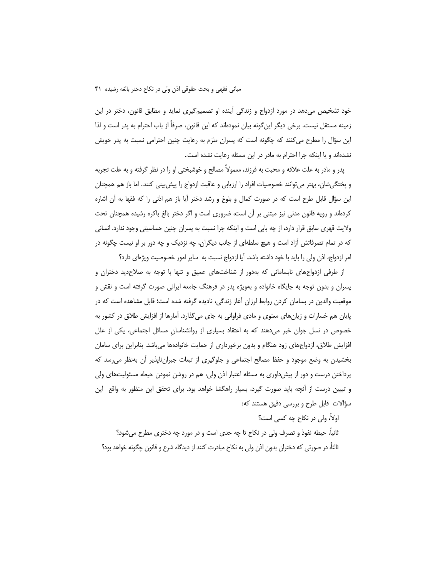خود تشخیص میدهد در مورد ازدواج و زندگی آینده او تصمیمگیری نماید و مطابق قانون، دختر در این زمینه مستقل نیست. برخی دیگر این گونه بیان نمودهاند که این قانون، صرفاً از باب احترام به پدر است و لذا این سؤال را مطرح می کنند که چگونه است که پسران ملزم به رعایت چنین احترامی نسبت به پدر خویش نشدهاند و یا اینکه چرا احترام به مادر در این مسئله رعایت نشده است.

پدر و مادر به علت علاقه و محبت به فرزند، معمولاً مصالح و خوشبختی او را در نظر گرفته و به علت تجربه و پختگی شان، بهتر می توانند خصوصیات افراد را ارزیابی و عاقبت ازدواج را پیش بینی کنند. اما باز هم همچنان این سؤال قابل طرح است که در صورت کمال و بلوغ و رشد دختر أیا باز هم اذنی را که فقها به آن اشاره کردهاند و رویه قانون مدنی نیز مبتنی بر آن است، ضروری است و اگر دختر بالغ باکره رشیده همچنان تحت ولايت قهري سابق قرار دارد، از چه بابي است و اينكه چرا نسبت به پسران چنين حساسيتي وجود ندارد. انساني که در تمام تصرفاتش آزاد است و هیچ سلطهای از جانب دیگران، چه نزدیک و چه دور بر او نیست چگونه در امر ازدواج، اذن ولي را بايد با خود داشته باشد. آيا ازدواج نسبت به ساير امور خصوصيت ويژهاي دارد؟

از طرفی ازدواجهای نابسامانی که بهدور از شناختهای عمیق و تنها با توجه به صلاحدید دختران و پسران و بدون توجه به جایگاه خانواده و بهویژه پدر در فرهنگ جامعه ایرانی صورت گرفته است و نقش و موقعیت والدین در بسامان کردن روابط لرزان آغاز زندگی، نادیده گرفته شده است؛ قابل مشاهده است که در پایان هم خسارات و زیانهای معنوی و مادی فراوانی به جای میگذارد. آمارها از افزایش طلاق در کشور به خصوص در نسل جوان خبر میدهند که به اعتقاد بسیاری از روانشناسان مسائل اجتماعی، یکی از علل افزایش طلاق، ازدواجهای زود هنگام و بدون برخورداری از حمایت خانوادهها میباشد. بنابراین برای سامان بخشیدن به وضع موجود و حفظ مصالح اجتماعی و جلوگیری از تبعات جبرانiپذیر آن بهنظر می سد که پرداختن درست و دور از پیش(اوری به مسئله اعتبار اذن ولی، هم در روشن نمودن حیطه مسئولیتهای ولی و تبیین درست از أنچه باید صورت گیرد، بسیار راهگشا خواهد بود. برای تحقق این منظور به واقع |ین سؤالات قابل طرح و بررسی دقیق هستند که:

اولاً، ولي در نكاح چه كسي است؟ ثانیاً، حیطه نفوذ و تصرف ولی در نکاح تا چه حدی است و در مورد چه دختری مطرح میشود؟ ثالثاً، در صورتی که دختران بدون اذن ولی به نکاح مبادرت کنند از دیدگاه شرع و قانون چگونه خواهد بود؟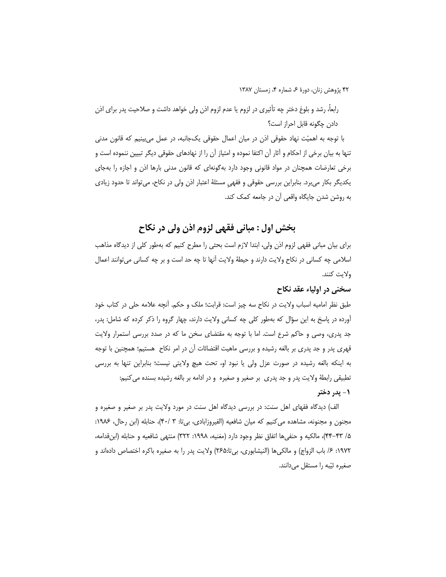رابعاً، رشد و بلوغ دختر چه تأثیری در لزوم یا عدم لزوم اذن ولی خواهد داشت و صلاحیت پدر برای اذن دادن چگونه قابل احراز است؟

با توجه به اهمیّت نهاد حقوقی اذن در میان اعمال حقوقی یکجانبه، در عمل میبینیم که قانون مدنی تنها به بیان برخی از احکام و آثار آن اکتفا نموده و امتیاز آن را از نهادهای حقوقی دیگر تبیین ننموده است و برخی تعارضات همچنان در مواد قانونی وجود دارد بهگونهای که قانون مدنی بارها اذن و اجازه را بهجای یکدیگر بکار میبرد. بنابراین بررسی حقوقی و فقهی مسئلهٔ اعتبار اذن ولی در نکاح، میتواند تا حدود زیادی به روشن شدن جايگاه واقعي آن در جامعه كمک کند.

بخش اول : مباني فقهي لزوم اذن ولي در نكاح

برای بیان مبانی فقهی لزوم اذن ولی، ابتدا لازم است بحثی را مطرح کنیم که بهطور کلی از دیدگاه مذاهب اسلامی چه کسانی در نکاح ولایت دارند و حیطهٔ ولایت آنها تا چه حد است و بر چه کسانی میتوانند اعمال ولايت كنند.

### سخنی در اولیاء عقد نکاح

طبق نظر امامیه اسباب ولایت در نکاح سه چیز است: قرابت؛ ملک و حکم. آنچه علامه حلی در کتاب خود اًورده در پاسخ به این سؤال که بهطور کلی چه کسانی ولایت دارند، چهار گروه را ذکر کرده که شامل: پدر، جد پدری، وصی و حاکم شرع است. اما با توجه به مقتضای سخن ما که در صدد بررسی استمرار ولایت قهری پدر و جد پدری بر بالغه رشیده و بررسی ماهیت اقتضائات آن در امر نکاح هستیم؛ همچنین با توجه به اینکه بالغه رشیده در صورت عزل ولی یا نبود او، تحت هیچ ولایتی نیست؛ بنابراین تنها به بررسی تطبیقی رابطهٔ ولایت پدر و جد پدری ً بر صغیر و صغیره ً و در ادامه بر بالغه رشیده بسنده می کنیم:

#### ۱- پدر دختر

الف) دیدگاه فقهای اهل سنت: در بررسی دیدگاه اهل سنت در مورد ولایت پدر بر صغیر و صغیره و مجنون و مجنونه، مشاهده می کنیم که میان شافعیه (الفیروزابادی، بی¤: ۳۰/ ۴۰)، حنابله (ابن رحال، ۱۹۸۶: ۵/ ۴۳–۴۴)، مالکیه و حنفی ها اتفاق نظر وجود دارد (مغنیه، ۱۹۹۸: ۳۲۲) منتهی شافعیه و حنابله (ابن قدامه، ١٩٧٢: ۶/ باب الزواج) و مالكيها (النيشابوري، بيتا:٢۶۵) ولايت پدر را به صغيره باكره اختصاص دادهاند و صغیره ثیّبه را مستقل میدانند.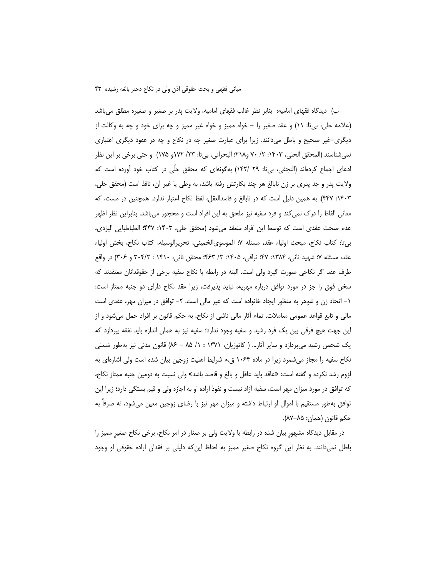ب) دیدگاه فقهای امامیه: بنابر نظر غالب فقهای امامیه، ولایت پدر بر صغیر و صغیره مطلق میباشد (علامه حلي، بيiت: ١١) و عقد صغير را – خواه مميز و خواه غير مميز و چه براي خود و چه به وكالت از دیگری-غیر صحیح و باطل میدانند. زیرا برای عبارت صغیر چه در نکاح و چه در عقود دیگری اعتباری نمي شناسند (المحقق الحلي، ١۴٠٣: ٢/ ٧٠ و٢١٨؛ البحراني، بي¤ا: ٢٣/ ١٧٢و ١٧۵) و حتى برخي بر اين نظر ادعای اجماع کردهاند (النجفی، بی¤ا: ۲۹ /۱۴۲) بهگونهای که محقق حلّی در کتاب خود اًورده است که ولايت پدر و جد پدري بر زن نابالغ هر چند بکارتش رفته باشد، به وطي يا غير ان، نافذ است (محقق حلي، ۱۴۰۳: ۴۴۷). به همین دلیل است که در نابالغ و فاسدالعقل، لفظ نکاح اعتبار ندارد. همچنین در مست، که معانی الفاظ را درک نمی کند و فرد سفیه نیز ملحق به این افراد است و محجور میباشد. بنابراین نظر اظهر عدم صحت عقدى است كه توسط اين افراد منعقد مىشود (محقق حلى، ١۴٠٣: ۴۴۷: الطباطبايي اليزدى، بيتا: كتاب نكاح، مبحث اولياء عقد، مسئله ٧؛ الموسوىالخميني، تحريرالوسيله، كتاب نكاح، بخش اولياء عقد، مسئله ۷: شهید ثانی، ۱۳۸۴: ۴۷؛ نراقی، ۱۴۰۵: ۲/ ۴۶۳؛ محقق ثانی، ۱۴۱۰ : ۳۰۴/۲ و ۳۰۶) در واقع طرف عقد اگر نکاحی صورت گیرد ولی است. البته در رابطه با نکاح سفیه برخی از حقوقدانان معتقدند که سخن فوق را جز در مورد توافق درباره مهریه، نباید پذیرفت، زیرا عقد نکاح دارای دو جنبه ممتاز است: ۱– اتحاد زن و شوهر به منظور ایجاد خانواده است که غیر مالی است. ۲– توافق در میزان مهر، عقدی است مالی و تابع قواعد عمومی معاملات. تمام أثار مالی ناشی از نکاح، به حکم قانون بر افراد حمل میشود و از این جهت هیچ فرقی بین یک فرد رشید و سفیه وجود ندارد؛ سفیه نیز به همان اندازه باید نفقه بپردازد که یک شخص رشید می پردازد و سایر آثار… ( کاتوزیان، ۱۳۷۱ : ۱/ ۸۵ – ۸۶) قانون مدنی نیز بهطور ضمنی نکاح سفیه را مجاز میشمرد زیرا در ماده ۱۰۶۴ ق.م شرایط اهلیت زوجین بیان شده است ولی اشارهای به لزوم رشد نكرده و گفته است: «عاقد بايد عاقل و بالغ و قاصد باشد» ولي نسبت به دومين جنبه ممتاز نكاح، که توافق در مورد میزان مهر است، سفیه آزاد نیست و نفوذ اراده او به اجازه ولی و قیم بستگی دارد؛ زیرا این توافق بهطور مستقیم با اموال او ارتباط داشته و میزان مهر نیز با رضای زوجین معین میشود، نه صرفا به حكم قانون (همان: ٨۵–٨٧).

در مقابل دیدگاه مشهور بیان شده در رابطه با ولایت ولی بر صغار در امر نکاح، برخی نکاح صغیر ممیز را باطل نمی دانند. به نظر این گروه نکاح صغیر ممیز به لحاظ این که دلیلی بر فقدان اراده حقوقی او وجود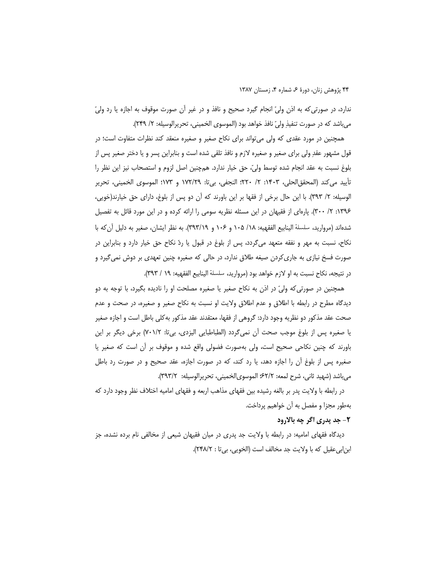ندارد، در صورتیکه به اذن ولیِّ انجام گیرد صحیح و نافذ و در غیر آن صورت موقوف به اجازه یا رد ولیّ مي باشد كه در صورت تنفيذِ وليّ نافذ خواهد بود (الموسوى الخميني، تحريرالوسيله: ٢/ ٢۴٩).

همچنین در مورد عقدی که ولی می تواند برای نکاح صغیر و صغیره منعقد کند نظرات متفاوت است؛ در قول مشهور عقدِ ولي براي صغير و صغيره لازم و نافذ تلقى شده است و بنابراين پسر و يا دختر صغير پس از بلوغ نسبت به عقد انجام شده توسط وليِّ، حق خيار ندارد. همچنين اصل لزوم و استصحاب نيز اين نظر را تأييد مي كند (المحقق|لحلي، ١۴٠٣: ٢/ ٢٢٠؛ النجفي، بي¤: ١٧٢/٢٩ و ١٧٣؛ الموسوى الخميني، تحرير الوسيله: ٢/ ٣٩٣). با اين حال برخي از فقها بر اين باورند كه آن دو پس از بلوغ، داراي حق خيارند(خويي، ۱۳۹۶: ۲/ ۳۰۰). پارهای از فقیهان در این مسئله نظریه سومی را ارائه کرده و در این مورد قائل به تفصیل شدهاند (مرواريد، سلسلة الينابيع الفقهيه: ١٠٨/ ١٠۵ و ١٠۶/ ٣٩٣/١٩). به نظر ايشان، صغير به دليل آن كه با نکاح، نسبت به مهر و نفقه متعهد میگردد، پس از بلوغ در قبول یا ردّ نکاح حق خیار دارد و بنابراین در صورت فسخ نیازی به جاری کردن صیغه طلاق ندارد، در حالی که صغیره چنین تعهدی بر دوش نمی گیرد و در نتيجه، نكاح نسبت به او لازم خواهد بود (مرواريد، سلسلة الينابيع الفقهيه: ١٩ / ٣٩٣).

همچنین در صورتی که ولیّ در اذن به نکاح صغیر یا صغیره مصلحت او را نادیده بگیرد، با توجه به دو دیدگاه مطرح در رابطه با اطلاق و عدم اطلاق ولایت او نسبت به نکاح صغیر و صغیره، در صحت و عدم صحت عقد مذکور دو نظریه وجود دارد: گروهی از فقها، معتقدند عقد مذکور به کلی باطل است و اجازه صغیر یا صغیرہ پس از بلوغ موجب صحت اًن نمیگردد (الطباطبایی الیزدی، بی¤: ۷۰۱/۲) برخی دیگر بر این باورند که چنین نکاحی صحیح است، ولی بهصورت فضولی واقع شده و موقوف بر أن است که صغیر یا صغیره پس از بلوغ آن را اجازه دهد، یا رد کند، که در صورت اجازه، عقد صحیح و در صورت رد باطل مي باشد (شهيد ثاني، شرح لمعه: ۶۲/۲؛ الموسوىالخميني، تحريرالوسيله: ٣٩٣/٢).

در رابطه با ولایت پدر بر بالغه رشیده بین فقهای مذاهب اربعه و فقهای امامیه اختلاف نظر وجود دارد که بهطور مجزا و مفصل به آن خواهیم پرداخت.

### ۲- جد پدري اگر چه بالارود

دیدگاه فقهای امامیه: در رابطه با ولایت جد پدری در میان فقیهان شیعی از مخالفی نام برده نشده، جز ابن|بی عقیل که با ولایت جد مخالف است (الخویی، بی تا : ۲۴۸/۲).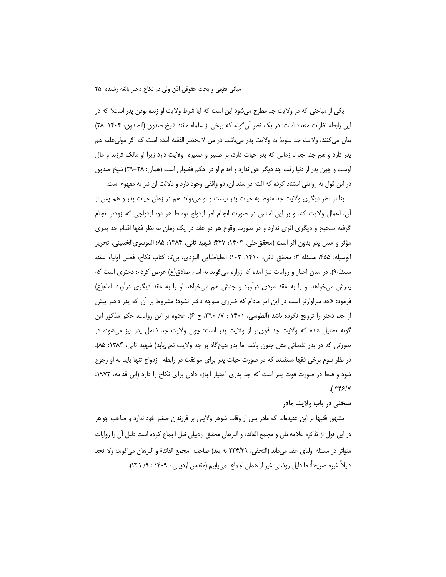یکی از مباحثی که در ولایت جد مطرح میشود این است که آیا شرط ولایت او زنده بودن پدر است؟ که در اين رابطه نظرات متعدد است: در يک نظر أن گونه که برخي از علماء مانند شيخ صدوق (الصدوق، ۱۴۰۴: ۲۸) بيان مي كنند، ولايت جد منوط به ولايت پدر مي باشد. در من لايحضر الفقيه آمده است كه اگر مولىعليه هم پدر دارد و هم جد، جد تا زمانی که پدر حیات دارد، بر صغیر و صغیره ولایت دارد زیرا او مالک فرزند و مال اوست و چون پدر از دنیا رفت جد دیگر حق ندارد و اقدام او در حکم فضولی است (همان: ۲۸–۲۹) شیخ صدوق در این قول به روایتی استناد کرده که البته در سند آن، دو واقفی وجود دارد و دلالت آن نیز به مفهوم است.

بنا بر نظر دیگری ولایت جد منوط به حیات پدر نیست و او میتواند هم در زمان حیات پدر و هم پس از ان، اعمال ولایت کند و بر این اساس در صورت انجام امر ازدواج توسط هر دو، ازدواجی که زودتر انجام گرفته صحیح و دیگری اثری ندارد و در صورت وقوع هر دو عقد در یک زمان به نظر فقها اقدام جد پدری مؤثر و عمل پدر بدون اثر است (محقق حلی، ۱۴۰۳: ۴۴۷؛ شهید ثانی، ۱۳۸۴: ۸۵؛ الموسویالخمینی، تحریر الوسيله: ۴۵۵، مسئله ٣؛ محقق ثاني، ١۴١٠: ١٠٣؛ الطباطبايي اليزدي، بي¤: كتاب نكاح، فصل اولياء عقد، مسئله۹). در میان اخبار و روایات نیز آمده که زراره میگوید به امام صادق(ع) عرض کردم: دختری است که پدرش میخواهد او را به عقد مردی درآورد و جدش هم میخواهد او را به عقد دیگری درآورد. امام(ع) فرمود: «جد سزاوارتر است در این امر مادام که ضرری متوجه دختر نشود؛ مشروط بر آن که پدر دختر پیش از جد، دختر را تزویج نکرده باشد (الطوسی، ۱۴۰۱ : ۷/ ۳۹۰، ح ۶). علاوه بر این روایت، حکم مذکور این گونه تحلیل شده که ولایت جد قویتر از ولایت پدر است؛ چون ولایت جد شامل پدر نیز میشود، در صورتی که در پدر نقصانی مثل جنون باشد اما پدر هیچگاه بر جد ولایت نمی،یابد( شهید ثانی، ۱۳۸۴: ۸۵). در نظر سوم برخی فقها معتقدند که در صورت حیات پدر برای موافقت در رابطه |زدواج تنها باید به او رجوع شود و فقط در صورت فوت پدر است که جد پدری اختیار اجازه دادن برای نکاح را دارد (ابن قدامه، ۱۹۷۲:  $.$ ( $Y$ ۴۶/۷

#### سخني در باب ولايت مادر

مشهور فقیها بر این عقیدهاند که مادر پس از وفات شوهر ولایتی بر فرزندان صغیر خود ندارد و صاحب جواهر در این قول از تذکره علامهحلی و مجمع الفائدة و البرهان محقق اردبیلی نقل اجماع کرده است دلیل ان را روایات متواتر در مسئله اولياي عقد ميداند (النجفي، ٢٣٣/٢٩ به بعد) صاحب مجمع الفائدة و البرهان مي گويد: ولا نجد دليلاً غيره صريحاً؛ ما دليل روشني غير از همان اجماع نمي يابيم (مقدس اردبيلي ، ١۴٠٩ : ٩/ ٢٣١).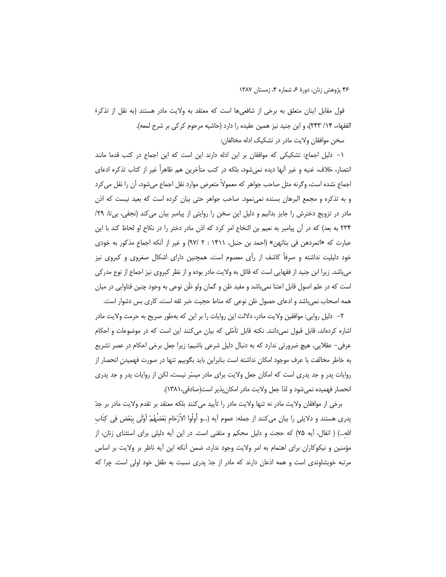قول مقابل اینان متعلق به برخی از شافعیها است که معتقد به ولایت مادر هستند (به نقل از تذکرة الفقهاء، ١۴/ ٢۴٣)، و ابن جنيد نيز همين عقيده را دارد (حاشيه مرحوم كركي بر شرح لمعه).

سخن موافقان ولايت مادر در تشكيک ادله مخالفان:

۱– دلیل اجماع: تشکیکی که موافقان بر این ادله دارند این است که این اجماع در کتب قدما مانند انتصار، خلاف، غنيه و غير أنها ديده نمي شود، بلكه در كتب متأخرين هم ظاهراً غير از كتاب تذكره ادعاى اجماع نشده است، وگرنه مثل صاحب جواهر كه معمولاً متعرض موارد نقل اجماع مىشود، آن را نقل مى كرد و به تذکره و مجمع البرهان بسنده نمی،نمود. صاحب جواهر حتی بیان کرده است که بعید نیست که اذن مادر در تزویج دخترش را جایز بدانیم و دلیل این سخن را روایتی از پیامبر بیان می کند (نجفی، بیتا: ۲۹/ ٢٣۴ به بعد) كه در آن پيامبر به نعيم بن النخاع امر كرد كه اذن مادر دختر را در نكاح او لحاظ كند با اين عبارت كه «اتمردهن في بناتهن» (احمد بن حنبل، ١۴١١ : ٢ /٩٧) و غير از أنكه اجماع مذكور به خودي خود دلیلیت نداشته و صرفاً کاشف از رأی معصوم است، همچنین دارای اشکال صغروی و کبروی نیز میباشد. زیرا ابن جنید از فقهایی است که قائل به ولایت مادر بوده و از نظر کبروی نیز اجماع از نوع مدرکی است که در علم اصول قابل اعتنا نمیباشد و مفید ظن و گمان ولو ظٰن نوعی به وجود چنین فتاوایی در میان همه اصحاب نمی باشد و ادعای حصول ظن نوعی که مناط حجیت خبر ثقه است، کاری بس دشوار است.

٢– دلیل روایی: موافقین ولایت مادر، دلالت این روایات را بر این که بهطور صریح به حرمت ولایت مادر اشاره کردهاند، قابل قبول نمیدانند. نکته قابل تأمّلی که بیان میکنند این است که در موضوعات و احکام عرفی– عقلایی، هیچ ضرورتی ندارد که به دنبال دلیل شرعی باشیم؛ زیرا جعل برخی احکام در عصر تشریع به خاطر مخالفت با عرف موجود امكان نداشته است بنابراين بايد بگوييم تنها در صورت فهميدن انحصار از روایات پدر و جد پدری است که امکان جعل ولایت برای مادر میسّر نیست، لکن از روایات پدر و جد پدری انحصار فهميده نمي شود و لذا جعل ولايت مادر امكان پذير است(صادقي،١٣٨١).

برخی از موافقان ولایت مادر نه تنها ولایت مادر را تأیید میکنند بلکه معتقد بر تقدم ولایت مادر بر جدّ پدري هستند و دلايلي را بيان ميكنند از جمله: عموم آيه (…و أُولُوا الأَرْحَام بَعْضُهُمْ أَوْلَى بِبَعْض فِي كِتَاب الله…) ( انفال، آیه ۷۵) که حجت و دلیل محکم و متقنی است. در این آیه دلیلی برای استثنای زنان، از مؤمنین و نیکوکاران برای اهتمام به امر ولایت وجود ندارد، ضمن آنکه این آیه ناظر بر ولایت بر اساس مرتبه خویشاوندی است و همه اذعان دارند که مادر از جدّ پدری نسبت به طفل خود اولی است. چرا که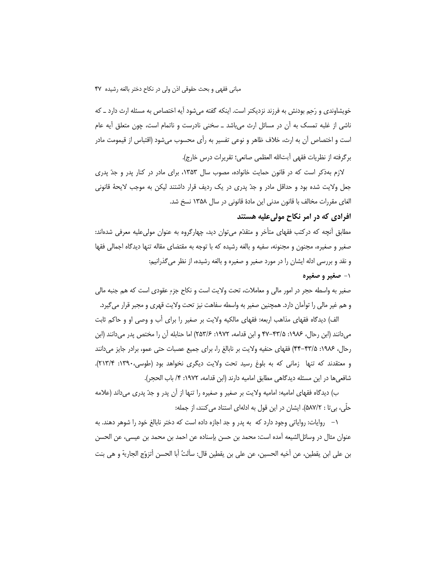خویشاوندی و رَحِم بودنش به فرزند نزدیکتر است. اینکه گفته میشود آیه اختصاص به مسئله ارث دارد ــ که ناشی از غلبه تمسک به اُن در مسائل ارث میباشد ــ سخنی نادرست و ناتمام است، چون متعلق اَیه عام است و اختصاص آن به ارث، خلاف ظاهر و نوعی تفسیر به رأی محسوب میشود (اقتباس از قیمومت مادر برگرفته از نظريات فقهي آيتالله العظمى صانعي؛ تقريرات درس خارج).

لازم بهذکر است که در قانون حمایت خانواده، مصوب سال ۱۳۵۳، برای مادر در کنار پدر و جدّ پدری جعل ولایت شده بود و حداقل مادر و جدّ پدری در یک ردیف قرار داشتند لیکن به موجب لایحهٔ قانونی الغای مقررات مخالف با قانون مدنی این مادهٔ قانونی در سال ۱۳۵۸ نسخ شد.

### افرادی که در امر نکاح مولی علیه هستند

مطابق أنچه که درکتب فقهای متأخر و متقدّم می¤وان دید، چهارگروه به عنوان مولیعلیه معرفی شدهاند: صغیر و صغیره، مجنون و مجنونه، سفیه و بالغه رشیده که با توجه به مقتضای مقاله تنها دیدگاه اجمالی فقها و نقد و بررسی ادله ایشان را در مورد صغیر و صغیره و بالغه رشیده، از نظر میگذرانیم:

### ۱- صغیر و صغیره

صغیر به واسطه حجر در امور مالی و معاملات، تحت ولایت است و نکاح جزءِ عقودی است که هم جنبه مالی و هم غیر مالی را توأمان دارد. همچنین صغیر به واسطه سفاهت نیز تحت ولایت قهری و مجبر قرار می گیرد.

الف) دیدگاه فقهای مذاهب اربعه: فقهای مالکیه ولایت بر صغیر را برای أب و وصی او و حاکم ثابت میدانند (ابن رحال، ۱۹۸۶: ۴۷–۴۷ و ابن قدامه، ۱۹۷۲: ۲۵۳/۶) اما حنابله آن را مختص پدر میدانند (ابن رحال، ۱۹۸۶: ۴۳/۵-۴۴) فقهای حنفیه ولایت بر نابالغ را، برای جمیع عصبات حتی عمو، برادر جایز می دانند و معتقدند که تنها زمانی که به بلوغ رسید تحت ولایت دیگری نخواهد بود (طوسی،۱۳۹۰: ۲۱۳/۴). شافعي ها در اين مسئله ديدگاهي مطابق اماميه دارند (ابن قدامه، ١٩٧٢: ۴/ باب الحجر).

ب) دیدگاه فقهای امامیه: امامیه ولایت بر صغیر و صغیره را تنها از آن پدر و جدّ پدری میداند (علامه حلَّى، بيتا : ۵۸۷/۲). ايشان در اين قول به ادلهاى استناد مى كنند، از جمله:

۱– روایات: روایاتی وجود دارد که به پدر و جد اجازه داده است که دختر نابالغ خود را شوهر دهند. به عنوان مثال در وسائل|لشيعه آمده است: محمد بن حسن بإسناده عن احمد بن محمد بن عيسى، عن الحسن بن على ابن يقطين، عن أخيه الحسين، عن على بن يقطين قال: سألتُ أبا الحسن أتزوّج الجارية و هي بنت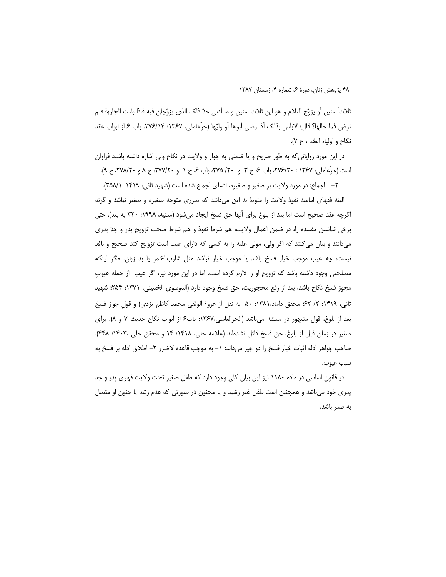ثلاثٌ سنين أو يزوِّج الغلام و هو ابن ثلاث سنين و ما أدنى حدّ ذلك الذي يزوِّجان فيه فاذا بلغت الجارية فلم ترض فما حالها؟ قال: لابأس بذلك أذا رضي أبوها أو وليِّها (حرِّعاملي، ١٣۶٧: ٢٧۶/١۴، باب ۶ از ابواب عقد نكاح و اولياء العقد ، ح ٧).

در این مورد روایاتی که به طور صریح و یا ضمنی به جواز و ولایت در نکاح ولی اشاره داشته باشند فراوان است (حرِّعاملي، ۱۳۶۷ : ۲۷۶/۲۰، باب ع ح ۳ و ۲۰/ ۲۷۵، باب ع ح ۱ و ۲۷۷/۲۰، ح ۸ و ۲۷۸/۲۰، ح ۹).

٢– اجماع: در مورد ولايت بر صغير و صغيره، ادّعاى اجماع شده است (شهيد ثاني، ١٣١٩: ١٨٨/١).

البته فقهای امامیه نفوذ ولایت را منوط به این میدانند که ضرری متوجه صغیره و صغیر نباشد و گرنه اگرچه عقد صحیح است اما بعد از بلوغ برای آنها حق فسخ ایجاد میشود (مغنیه، ۱۹۹۸: ۳۲۰ به بعد). حتی برخی نداشتن مفسده را، در ضمن اعمال ولایت، هم شرط نفوذ و هم شرط صحت تزویج پدر و جدّ پدری میدانند و بیان میکنند که اگر ولی، مولی علیه را به کسی که دارای عیب است تزویج کند صحیح و نافذ نیست، چه عیب موجب خیار فسخ باشد یا موجب خیار نباشد مثل شاربالخمر یا بد زبان. مگر اینکه مصلحتی وجود داشته باشد که تزویج او را لازم کرده است. اما در این مورد نیز، اگر عیب ًاز جمله عیوبِ مجوز فسخ نكاح باشد، بعد از رفع محجوريت، حق فسخ وجود دارد (الموسوى الخميني، ١٣٧١: ٢۵۴: شهيد ثاني، ١۴١٩: ٢/ ٤٢؛ محقق داماد،١٣٨١: ٥٠ به نقل از عروة الوثقى محمد كاظم يزدي) و قول جواز فسخ بعد از بلوغ، قول مشهور در مسئله می باشد (الحرالعاملی،۱۳۶۷: باب۶ از ابواب نکاح حدیث ۷ و ۸). برای صغير در زمان قبل از بلوغ، حق فسخ قائل نشدهاند (علامه حلي، ١۴١٨: ١۴ و محقق حلي ١۴٠٣، ٢٤٨). صاحب جواهر ادله اثبات خيار فسخ را دو چيز ميداند: ١– به موجب قاعده لاضرر ٢– اطلاق ادله بر فسخ به سبب عيوب.

در قانون اساسی در ماده ۱۱۸۰ نیز این بیان کلی وجود دارد که طفل صغیر تحت ولایت قهری پدر و جد پدری خود میباشد و همچنین است طفل غیر رشید و یا مجنون در صورتی که عدم رشد یا جنون او متصل به صغر باشد.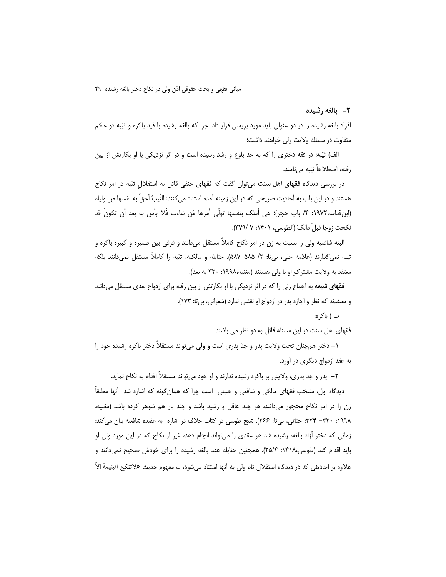2- بالغه رشيده

افراد بالغه رشیده را در دو عنوان باید مورد بررسی قرار داد. چرا که بالغه رشیده با قید باکره و ثیّبه دو حکم متفاوت در مسئله ولايت ولى خواهند داشت؛

الف) ثیّبه: در فقه دختری را که به حد بلوغ و رشد رسیده است و در اثر نزدیکی با او بکارتش از بین رفته، اصطلاحاً ثنَّته مے نامند.

در بررسی دیدگاه فقهای اهل سنت میتوان گفت که فقهای حنفی قائل به استقلال ثیّبه در امر نکاح هستند و در اين باب به أحاديث صريحي كه در اين زمينه آمده استناد مي كنند: الثَّيبُ أحقُ به نفسها مِن ولياه (ابنِ قدامه،١٩٧٢: ۴/ باب حجر)؛ هي أملك بنفسها تولَّى أمرها مَن شاءت فَلا بأس به بعد أن تكونَ قد نكحت زوجا قبلَ ذالكَ (الطوسي، ١۴٠١: ٧ /٣٧٩).

البته شافعیه ولی را نسبت به زن در امر نکاح کاملاً مستقل میدانند و فرقی بین صغیره و کبیره باکره و ثيبه نمي گذارند (علامه حلي، بي تا: ٢/ ۵۸۵–۵۸۷). حنابله و مالکيه، ثيّبه ١٫ کاملاً مستقل نمي دانند بلکه معتقد به ولايت مشترك او با ولى هستند (مغنيه،١٩٩٨: ٣٢٠ به بعد).

**فقهای شیعه** به اجماع زنی را که در اثر نزدیکی با او بکارتش از بین رفته برای ازدواج بعدی مستقل میدانند و معتقدند که نظر و اجازه پدر در ازدواج او نقشی ندارد (شعرانی، بی تا: ۱۷۳).

ب ) باكره:

فقهای اهل سنت در این مسئله قائل به دو نظر می باشند:

۱– دختر همچنان تحت ولایت پدر و جدّ پدری است و ولی می تواند مستقلاً دختر باکره رشیده خود را به عقد ازدواج دیگری در آورد.

۲– پدر و جد پدری، ولایتی بر باکره رشیده ندارند و او خود می تواند مستقلاً اقدام به نکاح نماید.

دیدگاه اول، منتخب فقهای مالکی و شافعی و حنبلی ِ است چرا که همان گونه که اشاره شد |أنها مطلقاً زن را در امر نکاح محجور میدانند، هر چند عاقل و رشید باشد و چند بار هم شوهر کرده باشد (مغنیه، ١٩٩٨: ٣٢٠- ٣٢۴: جناتي، بيi: ٢۶۶). شيخ طوسي در كتاب خلاف در اشاره به عقيده شافعيه بيان مي كند: زمانی که دختر آزاد بالغه، رشیده شد هر عقدی را میتواند انجام دهد، غیر از نکاح که در این مورد ولی او بايد اقدام كند (طوسى،٢١٨٢: ٢۵/۴). همچنين حنابله عقد بالغه رشيده را براى خودش صحيح نمىدانند و علاوه بر احادیثی که در دیدگاه استقلال تام ولی به آنها استناد می شود، به مفهوم حدیث «لاتنکح الیتیمة الاّ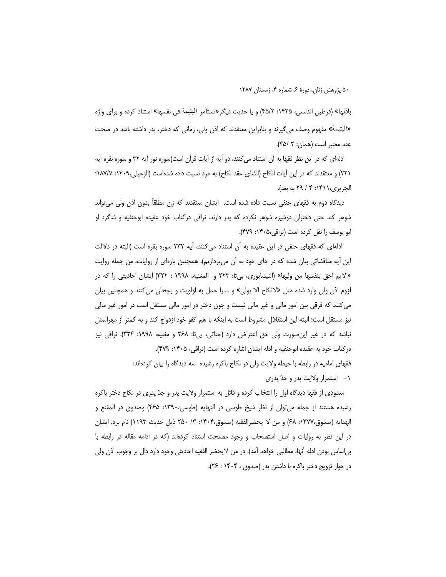باذنها» (قرطبی اندلسی، ۱۴۲۵: ۴۵/۲) و یا حدیث دیگر «تستأمر الیتیمة فی نفسها» استناد کرده و برای واژه «اليتيمة» مفهوم وصف مي€يرند و بنابراين معتقدند كه اذن ولي، زماني كه دختر، پدر داشته باشد در صحت عقد معتبر است (همان: ٢ /۴۵).

ادلهای که در این نظر فقها به آن استناد می کنند، دو آیه از آیات قرآن است(سوره نور آیه ۳۲ و سوره بقره آیه ۲۲۱) و معتقدند که در این آیات انکاح (انشای عقد نکاح) به مرد نسبت داده شدهاست (الزحیلی،۴۰۹: ۱۸۷/۷: الجزيري،١٣١١: ٢٩ / ٢٩ به بعد).

دیدگاه دوم به فقهای حنفی نسبت داده شده است. ایشان معتقدند که زن مطلقاً بدون اذن ولی می تواند شوهر کند حتی دختران دوشیزه شوهر نکرده که پدر دارند. نراقی درکتاب خود عقیده ابوحنفیه و شاگرد او ابو یوسف را نقل کرده است (نراقی،۴۰۵۰: ۴۷۹).

ادلهای که فقهای حنفی در این عقیده به آن استناد می کنند، آیه ۲۳۲ سوره بقره است (البته در دلالت این آیه مناقشاتی بیان شده که در جای خود به آن می $\mathbf{y}_i$ دازیم). همچنین پارهای از روایات، من جمله روایت «الايم احق بنفسها من وليها» (النيشابوري، بيii: ٢٢٣ و المغنيه، ١٩٩٨ : ٣٢٢) ايشان احاديثي را كه در لزوم اذن ولي وارد شده مثل «لانكاح الا بولي» و ….را حمل به اولويت و رجحان مي كنند و همچنين بيان می کنند که فرقی بین امور مالی و غیر مالی نیست و چون دختر در امور مالی مستقل است در امور غیر مالی نیز مستقل است؛ البته این استقلال مشروط است به اینکه با هم کفو خود ازدواج کند و به کمتر از مهرالمثل نباشد که در غیر این صورت ولی حق اعتراض دارد (جناتی، بی¤: ۲۶۸ و مغنیه، ۱۹۹۸: ۳۲۴). نراقی نیز دركتاب خود به عقيده ابوحنفيه و ادله ايشان اشاره كرده است (نراقى، ١۴٠۵: ٣٧٩). فقهای امامیه در رابطه با حیطه ولایت ولی در نکاح باکره رشیده سه دیدگاه را بیان کردهاند: ۱– استمرار ولایت پدر و جدّ پدر*ی* 

معدودی از فقها دیدگاه اول را انتخاب کرده و قائل به استمرار ولایت پدر و جدّ پدری در نکاح دختر باکره رشیده هستند از جمله می توان از نظر شیخ طوسی در النهایه (طوسی،۱۳۹۰: ۴۶۵) وصدوق در المقنع و الهدايه (صدوق،١٣٧٧: ۶۸) و من لا يحضرالفقيه (صدوق،١۴٠۴: ٣/ ٢۵٠ ذيل حديث ١١٩٣) نام برد. ايشان در این نظر به روایات و اصل استصحاب و وجود مصلحت استناد کردهاند (که در ادامه مقاله در رابطه با بي|ساس بودن ادله أنها، مطالبي خواهد أمد). در من لايحضر الفقيه احاديثي وجود دارد دال بر وجوب اذن ولي در جواز تزويج دختر باكره با داشتن يدر (صدوق ، ۱۴۰۴ : ۲۶).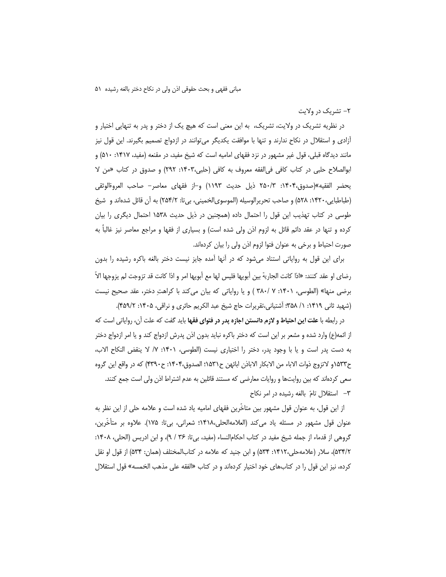۲– تشریک در ولایت

در نظریه تشریک در ولایت، تشریک، به این معنی است که هیچ یک از دختر و پدر به تنهایی اختیار و أزادي و استقلال در نكاح ندارند و تنها با موافقت يكديگر مي¤وانند در ازدواج تصميم بگيرند. اين قول نيز مانند دیدگاه قبلی، قول غیر مشهور در نزد فقهای امامیه است که شیخ مفید، در مقنعه (مفید، ۱۴۱۷: ۵۱۰) و ابوالصلاح حلبي در كتاب كافي في الفقه معروف به كافي (حلبي،١۴٠٣: ٢٩٢) و صدوق در كتاب «من لا يحضر الفقيه»(صدوق،١۴٠۴: ٢۵٠/٣ ذيل حديث ١١٩٣) و⊣ز فقهاى معاصر– صاحب العروةالوثقى (طباطبايي،١۴٢٠: ۵۲۸) و صاحب تحريرالوسيله (الموسوىالخميني، بي¤: ٢۵۴/٢) به أن قائل شدهاند و شيخ طوسی در کتاب تهذیب این قول را احتمال داده (همچنین در ذیل حدیث ۱۵۳۸ احتمال دیگری را بیان کرده و تنها در عقد دائم قائل به لزوم اذن ولی شده است) و بسیاری از فقها و مراجع معاصر نیز غالباً به صورت احتیاط و برخی به عنوان فتوا لزوم اذن ولی را بیان کردهاند.

برای این قول به روایاتی استناد میشود که در أنها آمده جایز نیست دختر بالغه باکره رشیده را بدون رضاي او عقد كنند: «اذا كانت الجارية بين أبويها فليس لها مع أبويها امر و اذا كانت قد تزوجت لم يزوجها الاّ برضي منها» (الطوسي، ١۴٠١: ٧ /٣٨٠ ) و يا رواياتي كه بيان مي كند با كراهتِ دختر، عقد صحيح نيست (شهید ثانی ۱۴۱۹: ۱/ ۳۵۸؛ آشتیانی،تقریرات حاج شیخ عبد الکریم حائری و نراقی، ۱۴۰۵: ۴۵۹/۲).

در رابطه با علت این احتیاط و لازم دانستن اجازه پدر در فتوای فقها باید گفت که علت آن، روایاتی است که از ائمه(ع) وارد شده و مشعر بر این است که دختر باکره نباید بدون اذن پدرش ازدواج کند و یا امر ازدواج دختر به دست پدر است و یا با وجود پدر، دختر را اختیاری نیست (الطوسی، ۱۴۰۱: ۷/ لا ینقض النکاح الاب، ح١۵٣٣و لاتزوج ذوات الاباء من الابكار الاباذن ابائهن ح١٥٣١؛ الصدوق،١۴٠۴: ح٣٣٩٠) كه در واقع اين گروه سعی کردهاند که بین روایتها و روایات معارضی که مستند قائلین به عدم اشتراط اذن ولی است جمع کنند. ٣– استقلال تامّ بالغه رشيده در امر نكاح

از این قول، به عنوان قول مشهور بین متاخَّرین فقهای امامیه یاد شده است و علامه حلی از این نظر به عنوان قول مشهور در مسئله ياد ميكند (العلامهالحلي،١۴١٨؛ شعراني، بي¤: ١٧۵). علاوه بر متأخرين، گروهی از قدماء از جمله شیخ مفید در کتاب احکام|لنساء (مفید، بی¤ا: ۳۶ / ۹)، و ابن ادریس (الحلی، ۱۴۰۸: ۵۳۴/۲)، سلار (علامهحلی،۱۴۱۲: ۵۳۴) و ابن جنید که علامه در کتابالمختلف (همان: ۵۳۴) از قول او نقل كرده، نيز اين قول را در كتابهاى خود اختيار كردهاند و در كتاب «الفقه على مذهب الخمسه» قول استقلال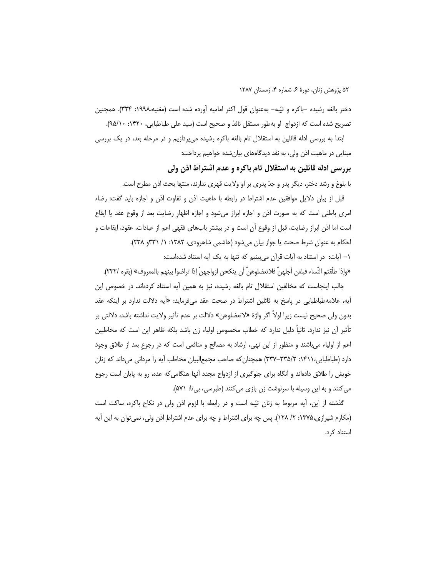دختر بالغه رشيده -باكره و ثيِّبه- بهعنوان قول اكثر اماميه أورده شده است (مغنيه،١٩٩٨: ٣٢۴). همچنين تصريح شده است كه ازدواج او بهطور مستقل نافذ و صحيح است (سيد على طباطبايي، ١۴٢٠: ٩٥/١٠).

ابتدا به بررسی ادله قائلین به استقلال تام بالغه باکره رشیده میپردازیم و در مرحله بعد، در یک بررسی مبنایی در ماهیت اذن ولی، به نقد دیدگاههای بیانشده خواهیم پرداخت:

# بررسی ادله قائلین به استقلال تام باکره و عدم اشتراط اذن ولی

با بلوغ و رشد دختر، دیگر پدر و جدّ پدری بر او ولایت قهری ندارند، منتها بحث اذن مطرح است.

قبل از بیان دلایل موافقین عدم اشتراط در رابطه با ماهیت اذن و تفاوت اذن و اجازه باید گفت: رضاء امری باطنی است که به صورت اذن و اجازه ابراز میشود و اجازه اظهار رضایت بعد از وقوع عقد یا ایقاع است اما اذن ابراز رضایت، قبل از وقوع آن است و در بیشتر بابهای فقهی اعم از عبادات، عقود، ایقاعات و احکام به عنوان شرط صحت یا جواز بیان میشود (هاشمی شاهرودی، ۱۳۸۲: ۱/ ۳۳۱و ۲۳۸). ١- آيات: در استناد به آيات قرآن مي بينيم كه تنها به يک آيه استناد شدهاست: «وإذا طلَّقتم النِّساء فبلغن أجلهنّ فلاتعضلوهنّ أن ينكحن ازواجهنّ إذا تراضوا بينهم بالمعروف» (بقره /٢٣٢).

جالب اینجاست که مخالفین استقلال تام بالغه رشیده، نیز به همین أیه استناد کردهاند. در خصوص این أيه، علامهطباطبايي در پاسخ به قائلين اشتراط در صحت عقد ميفرمايد: «أيه دلالت ندارد بر اينكه عقد بدون ولي صحيح نيست زيرا اولاً اگر واژهٔ «لاتعضلوهن» دلالت بر عدم تأثير ولايت نداشته باشد، دلالتي بر تأثير أن نيز ندارد. ثانياً دليل ندارد كه خطاب مخصوص اولياء زن باشد بلكه ظاهر اين است كه مخاطبين اعم از اولیاء میباشند و منظور از این نهی، ارشاد به مصالح و منافعی است که در رجوع بعد از طلاق وجود دارد (طباطبایی،۱۴۱۱: ۳۳۵/-۳۳۷) همچنان که صاحب مجمع|لبیان مخاطب آیه را مردانی می داند که زنان خویش را طلاق دادهاند و آنگاه برای جلوگیری از ازدواج مجدد آنها هنگامی که عده، رو به پایان است رجوع می کنند و به این وسیله با سرنوشت زن بازی می کنند (طبرسی، بی تا: ۵۷۱).

گذشته از این، آیه مربوط به زنان ثیّبه است و در رابطه با لزوم اذن ولی در نکاح باکره، ساکت است (مکارم شیرازی،۱۳۷۵: ۲/ ۱۲۸). پس چه برای اشتراط و چه برای عدم اشتراطِ اذن ولی، نمی توان به این آیه استناد کرد.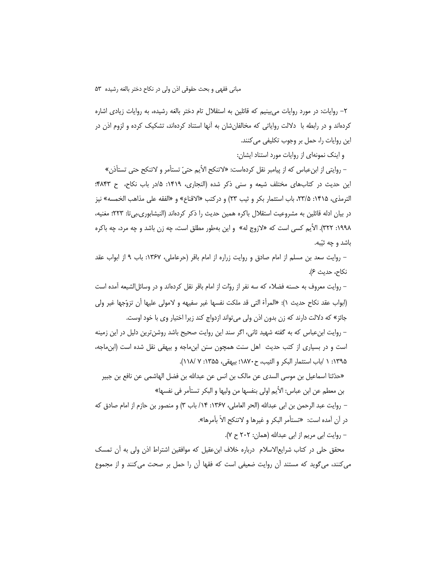۲– روایات: در مورد روایات می,بینیم که قائلین به استقلال تام دختر بالغه رشیده، به روایات زیادی اشاره کردهاند و در رابطه با دلالت روایاتی که مخالفانشان به آنها استناد کردهاند، تشکیک کرده و لزوم اذن در این روایات را، حمل بر وجوب تکلیفی می کنند.

و اینک نمونهای از روایات مورد استناد ایشان:

– روايتي از ابنءباس كه از پيامبر نقل كردهاست: «لاتنكح الأيم حتىّ تستأمر و لاتنكح حتى تستأذن» این حدیث در کتابهای مختلف شیعه و سنی ذکر شده (النجاری، ۱۴۱۹: ۱۵در باب نکاح، ح ۴۸۴۳: الترمذي، ١۴١۵: ٢٣/۵، باب استثمار بكر و ثيب ٢٣) و دركتب «الاقناع» و «الفقه على مذاهب الخمسه» نيز در بيان ادله قائلين به مشروعيت استقلال باكره همين حديث را ذكر كردهاند (النيشابوري،بي تا: ٢٢٣؛ مغنيه، ١٩٩٨: ٣٢٢). الأيم كسى است كه «لازوج له» و اين بهطور مطلق است، چه زن باشد و چه مرد، چه باكره باشد و چه ثيّبه.

– روايت سعد بن مسلم از امام صادق و روايت زراره از امام باقر (حرعاملي، ۱۳۶۷: باب ۹ از ابواب عقد نكاح، حديث ۶).

– روايت معروف به حسنه فضلاء كه سه نفر از روّات از امام باقر نقل كردهاند و در وسائل|لشيعه آمده است (ابواب عقد نكاح حديث ١): «المرأة التي قد ملكت نفسها غير سفيهه و لامولى عليها أن تزوَّجها غير ولي جائز» که دلالت دارند که زن بدون اذن ولی می تواند ازدواج کند زیرا اختیار وی با خود اوست.

– روایت ابنءباس که به گفته شهید ثانی، اگر سند این روایت صحیح باشد روشنترین دلیل در این زمینه است و در بسیاری از کتب حدیث اهل سنت همچون سنن ابنِ ماجه و بیهقی نقل شده است (ابنِ ماجه، ١٣٩۵: ١ /باب استثمار البكر و الثيب، ح١٨٧٠؛ بيهقي، ١٣۵۵: ٧ /١١٨).

«حدّثنا اسماعيل بن موسى السدى عن مالك بن انس عن عبدالله بن فضل الهاشمي عن نافع بن جبير بن معطم عن ابن عباس: الأيم اولى بنفسها من وليها و البكر تستأمر في نفسها»

– روايت عبد الرحمن بن ابي عبدالله (الحر العاملي، ١٣۶٧: ١۴/ باب ٣) و منصور بن حازم از امام صادق كه در أن أمده است: «تستأمر البكر و غيرها و لاتنكح الاّ بأمرها».

- روايت ابي مريم از ابي عبدالله (همان: ٢٠٢ ح ٧).

محقق حلی در کتاب شرایعالاسلام درباره خلاف ابنءقیل که موافقین اشتراط اذن ولی به أن تمسک میکنند، میگوید که مستند آن روایت ضعیفی است که فقها آن را حمل بر صحت میکنند و از مجموع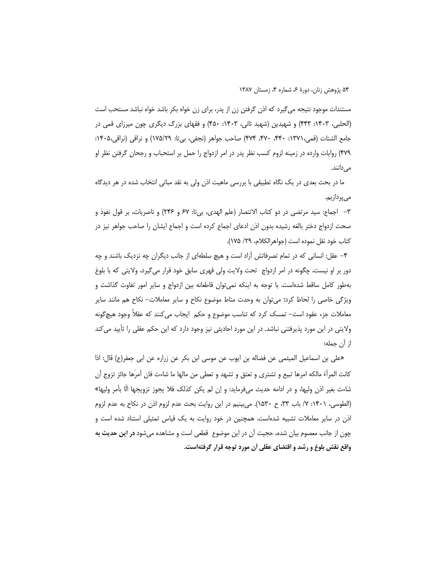مستندات موجود نتیجه می¢یرد که اذن گرفتن زن از پدر، برای زن خواه بکر باشد خواه نباشد مستحب است (الحلبي، ۱۴۰۳: ۴۴۳) و شهيدين (شهيد ثاني، ۱۴۰۳: ۴۵۰) و فقهاي بزرگ ديگري چون ميرزاي قمي در جامع الشتات (قمي،١٣٧١: ۴۴٠، ۴۷٠، ۴۷۴) صاحب جواهر (نجفي، بي تا: ١٧۵/٢٩) و نراقي (نراقي،١۴٠۵: ۴۷۹) روایات وارده در زمینه لزوم کسب نظر پدر در امر ازدواج را حمل بر استحباب و رجحان گرفتن نظر او میدانند.

ما در بحث بعدی در یک نگاه تطبیقی با بررسی ماهیت اذن ولی به نقد مبانی انتخاب شده در هر دیدگاه مے پر دازیم.

٣– اجماع: سيد مرتضى در دو كتاب الانتصار (علم الهدى، بي¤: ۶۷ و ۲۴۶) و ناصريات، بر قول نفوذ و صحت ازدواج دختر بالغه رشیده بدون اذن ادعای اجماع کرده است و اجماع ایشان را صاحب جواهر نیز در كتاب خود نقل نموده است (جواهرالكلام، ٢٩/ ١٧۵).

۴– عقل: انسانی که در تمام تصرفاتش أزاد است و هیچ سلطهای از جانب دیگران چه نزدیک باشند و چه دور بر او نیست، چگونه در امر ازدواج تحت ولایت ولی قهری سابق خود قرار میگیرد، ولایتی که با بلوغ بهطور كامل ساقط شدهاست. با توجه به اینکه نمی توان قاطعانه بین ازدواج و سایر امور تفاوت گذاشت و ویژگی خاصی را لحاظ کرد؛ می¤وان به وحدت مناط موضوع نکاح و سایر معاملات– نکاح هم مانند سایر معاملات جزء عقود است– تمسک کرد که تناسب موضوع و حکم ۖ ایجاب می کنند که عقلاً وجود هیچ گونه ولایتی در این مورد پذیرفتنی نباشد. در این مورد احادیثی نیز وجود دارد که این حکم عقلی را تأیید می کند از آن جمله:

«على بن اسماعيل الميثمي عن فضاله بن ايوب عن موسى ابن بكر عن زراره عن ابي جعفر(ع) قال: اذا كانت المرأة مالكه امرها تبيع و تشترى و تعتق و تشهد و تعطى من مالها ما شاءت فان أمرَها جائز تزوج أن شاءت بغير اذن وليها، و در ادامه حديث ميفرمايد: و إن لم يكن كذلك فلا يجوز تزويجها الَّا بأمر وليها» (الطوسي، ١۴٠١: ٧/ باب ٣٣، ح ١۵٣٠). مي بينيم در اين روايت بحث عدم لزوم اذن در نكاح به عدم لزوم اذن در سایر معاملات تشبیه شدهاست. همچنین در خود روایت به یک قیاس تمثیلی استناد شده است و چون از جانب معصوم بیان شده، حجیت آن در این موضوع قطعی است و مشاهده می شود **در این حدیث به** واقع نقش بلوغ و رشد و اقتضاى عقلى أن مورد توجه قرار گرفتهاست.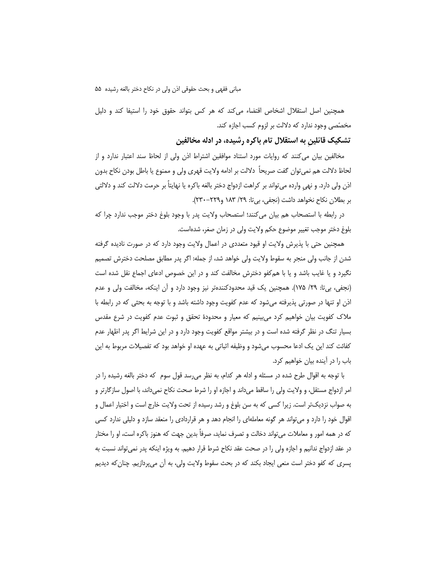همچنین اصل استقلال اشخاص اقتضاء می کند که هر کس بتواند حقوق خود را استیفا کند و دلیل مخصّصی وجود ندارد که دلالت بر لزوم کسب اجازه کند.

تشکیک قائلین به استقلال تام باکره رشیده، در ادله مخالفین

مخالفین بیان می کنند که روایات مورد استناد موافقین اشتراط اذن ولی از لحاظ سند اعتبار ندارد و از لحاظ دلالت هم نميٍّوان گفت صريحاً دلالت بر ادامه ولايت قهري ولي و ممنوع يا باطل بودن نكاح بدون اذن ولي دارد. و نهي وارده مي¤واند بر كراهت ازدواج دختر بالغه باكره يا نهايتاً بر حرمت دلالت كند و دلالتي بر بطلان نكاح نخواهد داشت (نجفى، بي تا: ٢٩/ ١٨٣ و٢٢٩-٢٣٠).

در رابطه با استصحاب هم بيان مي كنند؛ استصحاب ولايت پدر با وجود بلوغ دختر موجب ندارد چرا كه بلوغ دختر موجب تغییر موضوع حکم ولایت ولی در زمان صغر، شدهاست.

همچنین حتی با پذیرش ولایت او قیود متعددی در اعمال ولایت وجود دارد که در صورت نادیده گرفته شدن از جانب ولی منجر به سقوط ولایت ولی خواهد شد، از جمله: اگر پدر مطابق مصلحت دخترش تصمیم نگیرد و یا غایب باشد و یا با همکفو دخترش مخالفت کند و در این خصوص ادعای اجماع نقل شده است (نجفی، بیتا: ٢٩/ ١٧۵). همچنین یک قید محدودکنندهتر نیز وجود دارد و آن اینکه، مخالفت ولی و عدم اذن او تنها در صورتی پذیرفته میشود که عدم کفویت وجود داشته باشد و با توجه به بحثی که در رابطه با ملاک کفویت بیان خواهیم کرد می بینیم که معیار و محدودهٔ تحقق و ثبوت عدم کفویت در شرع مقدس بسیار تنگ در نظر گرفته شده است و در بیشتر مواقع کفویت وجود دارد و در این شرایط اگر پدر اظهار عدم كفائت كند اين يک ادعا محسوب مىشود و وظيفه اثباتى به عهده او خواهد بود که تفصيلات مربوط به اين باب را در آینده بیان خواهیم کرد.

با توجه به اقوال طرح شده در مسئله و ادله هر کدام، به نظر میرسد قول سوم که دختر بالغه رشیده را در امر ازدواج مستقل، و ولايت ولي را ساقط مي<اند و اجازه او را شرط صحت نكاح نمي<اند، با اصول سازگارتر و به صواب نزدیکتر است. زیرا کسی که به سن بلوغ و رشد رسیده از تحت ولایت خارج است و اختیار اعمال و اقوال خود را دارد و می تواند هر گونه معاملهای را انجام دهد و هر قراردادی را منعقد سازد و دلیلی ندارد کسی که در همه امور و معاملات می¤واند دخالت و تصرف نماید، صرفاً بدین جهت که هنوز باکره است، او را مختار در عقد ازدواج ندانیم و اجازه ولی را در صحت عقد نکاح شرط قرار دهیم. به ویژه اینکه پدر نمیٍتواند نسبت به پسری که کفو دختر است منعی ایجاد بکند که در بحث سقوط ولایت ولی، به ان میپردازیم. چنان که دیدیم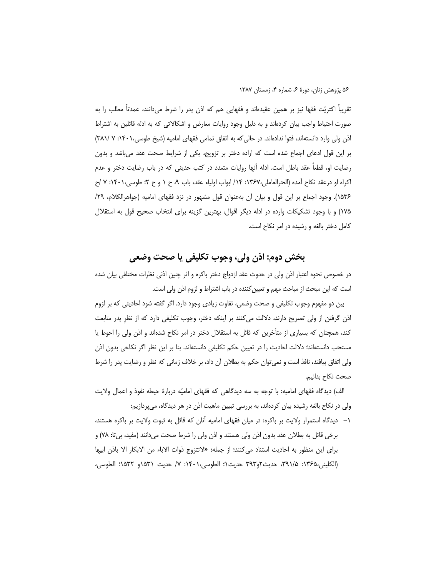تقریباً اکثریّت فقها نیز بر همین عقیدهاند و فقهایی هم که اذن پدر را شرط میدانند، عمدتاً مطلب را به صورت احتیاط واجب بیان کردهاند و به دلیل وجود روایات معارض و اشکالاتی که به ادله قائلین به اشتراط اذن ولی وارد دانستهاند، فتوا ندادهاند. در حالی که به اتفاق تمامی فقهای امامیه (شیخ طوسی، ۱۴۰۱: ۷ /۳۸۱) بر این قول ادعای اجماع شده است که اراده دختر بر تزویج، یکی از شرایط صحت عقد می باشد و بدون رضایت او، قطعاً عقد باطل است. ادله آنها روایات متعدد در کتب حدیثی که در باب رضایت دختر و عدم اكراه او درعقد نكاح آمده (الحرالعاملي،١٣۶٧: ١۴/ ابواب اولياء عقد، باب ٩، ح ١ و ح ٢؛ طوسى،١۴٠١: ٧ /ح ۱۵۳۶). وجود اجماع بر این قول و بیان آن بهعنوان قول مشهور در نزد فقهای امامیه (جواهرالکلام، ۲۹/ ۱۷۵) و با وجود تشکیکات وارده در ادله دیگر اقوال، بهترین گزینه برای انتخاب صحیح قول به استقلال کامل دختر بالغه و رشیده در امر نکاح است.

# بخش دوم: اذن ولي، وجوب تكليفي يا صحت وضعي

در خصوص نحوه اعتبار اذن ولی در حدوث عقد ازدواج دختر باکره و اثر چنین اذنی نظرات مختلفی بیان شده است که این مبحث از مباحث مهم و تعیین کننده در باب اشتراط و لزوم اذن ولی است.

بین دو مفهوم وجوب تکلیفی و صحت وضعی، تفاوت زیادی وجود دارد. اگر گفته شود احادیثی که بر لزوم اذن گرفتن از ولی تصریح دارند، دلالت می کنند بر اینکه دختر، وجوب تکلیفی دارد که از نظر پدر متابعت کند، همچنان که بسیاری از متأخرین که قائل به استقلال دختر در امر نکاح شدهاند و اذن ولی را احوط یا مستحب دانستهاند؛ دلالت احادیث را در تعیین حکم تکلیفی دانستهاند. بنا بر این نظر اگر نکاحی بدون اذن ولی اتفاق بیافتد، نافذ است و نمی توان حکم به بطلان آن داد، بر خلاف زمانی که نظر و رضایت پدر را شرط صحت نكاح بدانيم.

الف) دیدگاه فقهای امامیه: با توجه به سه دیدگاهی که فقهای امامیّه دربارهٔ حیطه نفوذ و اعمال ولایت ولی در نکاح بالغه رشیده بیان کردهاند، به بررسی تبیین ماهیت اذن در هر دیدگاه، میپردازیم:

۱– دیدگاه استمرار ولایت بر باکره: در میان فقهای امامیه آنان که قائل به ثبوت ولایت بر باکره هستند، برخي قائل به بطلان عقد بدون اذن ولي هستند و اذن ولي را شرط صحت ميدانند (مفيد، بي¤: ٧٨) و براي اين منظور به احاديث استناد مي كنند؛ از جمله: «لاتتزوج ذوات الاباء من الابكار الا باذن ابيها (الكليني،١٣۶۵: ٢٩١/٥، حديث٢و٣٩٣ حديث١؛ الطوسى،١٤٠١: ٧/ حديث ١٥٣١و ١٥٣٢؛ الطوسى،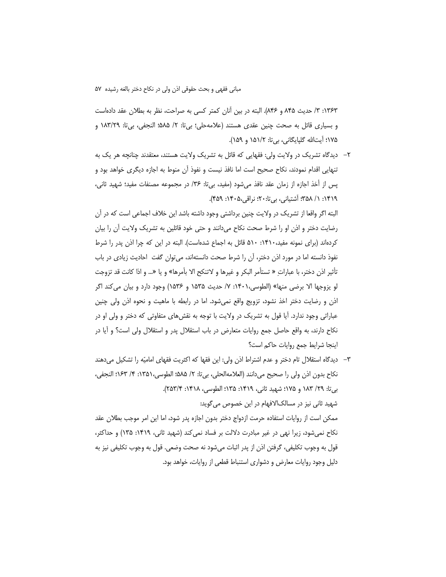۱۳۶۳: ۳/ حدیث ۸۴۵ و ۸۴۶). البته در بین أنان کمتر کسی به صراحت، نظر به بطلان عقد دادهاست و بسیاری قائل به صحت چنین عقدی هستند (علامهحلی؛ بی¤: ۲/ ۵۸۵؛ النجفی، بی¤: ۱۸۳/۲۹ و ۱۷۵؛ آیتالله گلیایگانی، بی تا: ۱۵۱/۲ و ۱۵۹).

٢- ديدگاه تشريک در ولايت ولي: فقهايي که قائل به تشريک ولايت هستند، معتقدند چنانچه هر يک به تنهایی اقدام نمودند، نکاح صحیح است اما نافذ نیست و نفوذ آن منوط به اجازه دیگری خواهد بود و پس از أخذ اجازه از زمان عقد نافذ میشود (مفید، بی¤ا: ۳۶/ در مجموعه مصنفات مفید؛ شهید ثانی، ۱۴۱۹: ۱/ ۳۵۸؛ اَشتیانی، بیتا:۲۰؛ نراقی،۴۰۵-۱۴۵۹).

البته اگر واقعا از تشریک در ولایت چنین برداشتی وجود داشته باشد این خلاف اجماعی است که در آن رضایت دختر و اذن او را شرط صحت نکاح میدانند و حتی خود قائلین به تشریک ولایت أن را بیان کردهاند (برای نمونه مفید،۱۴۱۰: ۵۱۰ قائل به اجماع شدهاست). البته در این که چرا اذن پدر را شرط نفوذ دانسته اما در مورد اذن دختر، أن را شرط صحت دانستهاند، می¤وان گفت احادیث زیادی در باب تأثير اذن دختر، با عباراتِ « تستأمر البكر و غيرها و لاتنكح الا بأمرها» و يا «... و اذا كانت قد تزوجت لو يزوجها الا برضي منها» (الطوسي،١۴٠١: ٧/ حديث ١۵۳۵ و ١۵۳۶) وجود دارد و بيان مي كند اگر اذن و رضایت دختر اخذ نشود، تزویج واقع نمیشود. اما در رابطه با ماهیت و نحوه اذن ولی چنین عباراتی وجود ندارد. آیا قول به تشریک در ولایت با توجه به نقشهای متفاوتی که دختر و ولی او در نکاح دارند، به واقع حاصل جمع روایات متعارض در باب استقلال پدر و استقلال ولی است؟ و ایا در اينجا شرايط جمع روايات حاكم است؟

٣– ديدگاه استقلال تام دختر و عدم اشتراط اذن ولي: اين فقها كه اكثريت فقهاي اماميّه را تشكيل ميدهند نكاح بدون اذن ولي را صحيح مي<انند (العلامه|لحلي، بيتا: ٢/ ۵۸۵؛ الطوسي، ١٣۵١: ۴/ ١۶٣؛ النجفي، بي¤ا: ٢٩/ ١٨٣ و ١٧۵؛ شهيد ثاني، ١۴١٩: ١٣۵؛ الطوسي، ١٣١٨: ٢٥٣/٤).

شهید ثانی نیز در مسالک|لافهام در این خصوص می *گ*وید: ممكن است از روايات استفاده حرمت ازدواج دختر بدون اجازه يدر شود، اما اين امر موجب بطلان عقد نکاح نمیشود، زیرا نهی در غیر مبادرت دلالت بر فساد نمی کند (شهید ثانی، ۱۴۱۹: ۱۳۵) و حداکثر، قول به وجوب تكليفي، گرفتن اذن از پدر اثبات ميشود نه صحت وضعي. قول به وجوب تكليفي نيز به دلیل وجود روایات معارض و دشواری استنباط قطعی از روایات، خواهد بود.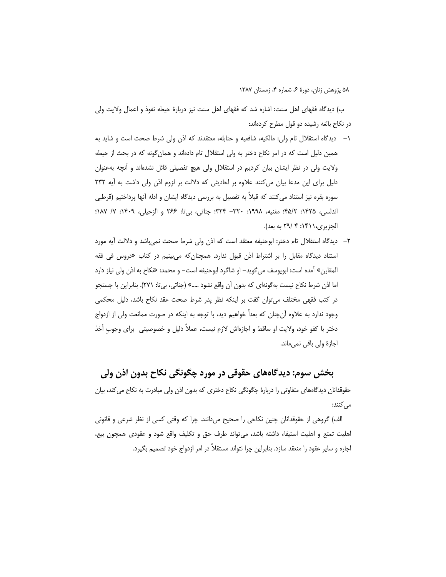ب) دیدگاه فقهای اهل سنت: اشاره شد که فقهای اهل سنت نیز دربارهٔ حیطه نفوذ و اعمال ولایت ولی در نکاح بالغه رشیده دو قول مطرح کردهاند:

- ۱– دیدگاه استقلال تام ولی: مالکیه، شافعیه و حنابله، معتقدند که اذن ولی شرط صحت است و شاید به همین دلیل است که در امر نکاح دختر به ولی استقلال تام دادهاند و همان گونه که در بحث از حیطه ولایت ولی در نظر ایشان بیان کردیم در استقلال ولی هیچ تفصیلی قائل نشدهاند و آنچه بهعنوان دلیل برای این مدعا بیان می کنند علاوه بر احادیثی که دلالت بر لزوم اذن ولی داشت به آیه ٢٣٢ سوره بقره نیز استناد می کنند که قبلاً به تفصیل به بررسی دیدگاه ایشان و ادله آنها پرداختیم (قرطبی اندلسي، ١٤٢۵: ٢/٥٩: مغنيه، ١٩٩٨: ٣٢٠- ٣٢۴: جناتي، بيii: ٢۶۶ و الزحيلي، ١٠٩٢: ٧/ ١٨٧: الجزيري،١۴١١: ۴ /٢٩ به بعد).
- ٢– ديدگاه استقلال تام دختر: ابوحنيفه معتقد است كه اذن ولي شرط صحت نمي باشد و دلالت آيه مورد استناد دیدگاه مقابل را بر اشتراط اذن قبول ندارد. همچنانکه می بینیم در کتاب «دروس فی فقه المقارن» آمده است: ابويوسف مي گويد– او شاگرد ابوحنيفه است– و محمد: «نكاح به اذن ولي نياز دارد اما اذن شرط نكاح نيست بهگونهاي كه بدون أن واقع نشود .....» (جناتي، بي¤: ٢٧١). بنابراين با جستجو در کتب فقهی مختلف می¤وان گفت بر اینکه نظر پدر شرط صحت عقد نکاح باشد، دلیل محکمی وجود ندارد به علاوه اّنچنان که بعداً خواهیم دید، با توجه به اینکه در صورت ممانعت ولی از ازدواج دختر با كفو خود، ولايت او ساقط و اجازەاش لازم نيست، عملاً دليل و خصوصيتى براى وجوب أخذ اجازۂ ولی باقی نمی ماند.

بخش سوم: دیدگاههای حقوقی در مورد چگونگی نکاح بدون اذن ولی حقوقدانان دیدگاههای متفاوتی را دربارهٔ چگونگی نکاح دختری که بدون اذن ولی مبادرت به نکاح میکند، بیان مى كنند:

الف) گروهی از حقوقدانان چنین نکاحی را صحیح میدانند. چرا که وقتی کسی از نظر شرعی و قانونی اهلیت تمتع و اهلیت استیفاء داشته باشد، می تواند طرف حق و تکلیف واقع شود و عقودی همچون بیع، اجاره و سایر عقود را منعقد سازد. بنابراین چرا نتواند مستقلاً در امر ازدواج خود تصمیم بگیرد.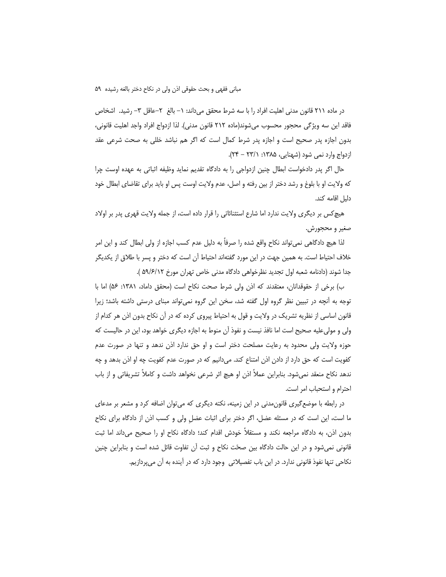در ماده ۲۱۱ قانون مدنی اهلیت افراد را با سه شرط محقق میداند: ۱– بالغ ۲–عاقل ۳– رشید. اشخاص فاقد این سه ویژگی محجور محسوب میشوند(ماده ۲۱۲ قانون مدنی). لذا ازدواج افراد واجد اهلیت قانونی، بدون اجازه پدر صحیح است و اجازه پدر شرط کمال است که اگر هم نباشد خللی به صحت شرعی عقد ازدواج وارد نمی شود (شهنایی، ۱۳۸۵: ۲۳/۱ – ۲۴).

حال اگر پدر دادخواست ابطال چنین ازدواجی را به دادگاه تقدیم نماید وظیفه اثباتی به عهده اوست چرا که ولایت او با بلوغ و رشد دختر از بین رفته و اصل، عدم ولایت اوست پس او باید برای تقاضای ابطال خود دليل اقامه كند.

هیچ کس بر دیگری ولایت ندارد اما شارع استثنائاتی را قرار داده است، از جمله ولایت قهری پدر بر اولاد صغير و محجورش.

لذا هیچ دادگاهی نمیٍتواند نکاح واقع شده را صرفاً به دلیل عدم کسب اجازه از ولی ابطال کند و این امر خلاف احتیاط است. به همین جهت در این مورد گفتهاند احتیاط آن است که دختر و پسر با طلاق از یکدیگر جدا شوند (دادنامه شعبه اول تجديد نظرخواهي دادگاه مدني خاص تهران مورخ ۵۹/۶/۱۲ ).

ب) برخی از حقوقدانان، معتقدند که اذن ولی شرط صحت نکاح است (محقق داماد، ۱۳۸۱: ۵۶) اما با توجه به آنچه در تبیین نظر گروه اول گفته شد، سخن این گروه نمیتواند مبنای درستی داشته باشد؛ زیرا قانون اساسی از نظریه تشریک در ولایت و قول به احتیاط پیروی کرده که در آن نکاح بدون اذن هر کدام از ولی و مولی علیه صحیح است اما نافذ نیست و نفوذ آن منوط به اجازه دیگری خواهد بود، این در حالیست که حوزه ولایت ولی محدود به رعایت مصلحت دختر است و او حق ندارد اذن ندهد و تنها در صورت عدم کفویت است که حق دارد از دادن اذن امتناع کند. میدانیم که در صورت عدم کفویت چه او اذن بدهد و چه ندهد نكاح منعقد نمىشود. بنابراين عملاً اذن او هيچ اثر شرعى نخواهد داشت و كاملاً تشريفاتي و از باب احترام و استحباب امر است.

در رابطه با موضع گیری قانون مدنی در این زمینه، نکته دیگری که میتوان اضافه کرد و مشعر بر مدعای ما است، این است که در مسئله عضل، اگر دختر برای اثبات عضل ولی و کسب اذن از دادگاه برای نکاح بدون اذن، به دادگاه مراجعه نکند و مستقلاً خودش اقدام کند؛ دادگاه نکاح او را صحیح میداند اما ثبت قانونی نمی شود و در این حالت دادگاه بین صحّت نکاح و ثبت آن تفاوت قائل شده است و بنابراین چنین نکاحی تنها نفوذ قانونی ندارد. در این باب تفصیلاتی وجود دارد که در آینده به آن می پردازیم.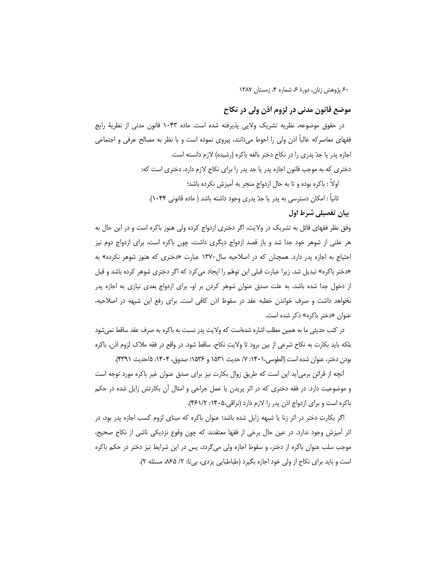### موضع قانون مدنی در لزوم اذن ولی در نکاح

در حقوق موضوعه، نظریه تشریک ولایی پذیرفته شده است. ماده ۱۰۴۳ قانون مدنی از نظریهٔ رایج فقهای معاصرکه غالباً اذن ولی را احوط میدانند، پیروی نموده است و با نظر به مصالح عرفی و اجتماعی اجازه پدر یا جدّ پدری را در نکاح دختر بالغه باکره (رشیده) لازم دانسته است. دختری که به موجب قانون اجازه پدر یا جد پدر را برای نکاح لازم دارد، دختری است که: اولاً : باكره بوده و تا به حال ازدواج منجر به آميزش نكرده باشد؛ ثانياً : امكان دسترسي به پدر يا جدّ پدري وجود داشته باشد ( ماده قانوني ۱۰۴۴). بیان تفصیلی شرط اول

وفق نظر فقهای قائل به تشریک در ولایت، اگر دختری ازدواج کرده ولی هنوز باکره است و در این حال به هر علتی از شوهر خود جدا شد و باز قصد ازدواج دیگری داشت، چون باکره است، برای ازدواج دوم نیز احتیاج به اجازه پدر دارد. همچنان که در اصلاحیه سال ۱۳۷۰ عبارت «دختری که هنوز شوهر نکرده» به «دختر باکره» تبدیل شد. زیرا عبارت قبلی این توهّم را ایجاد می کرد که اگر دختری شوهر کرده باشد و قبل از دخول جدا شده باشد، به علت صدق عنوان شوهر کردن بر او، برای ازدواج بعدی نیازی به اجازه پدر نخواهد داشت و صرف خواندن خطبه عقد در سقوط اذن كافي است. براي رفع اين شبهه در اصلاحيه، عنوان «دختر باكره» ذكر شده است.

در کتب حدیثی ما به همین مطلب اشاره شدهاست که ولایت پدر نسبت به باکره به صرف عقد ساقط نمی شود بلكه بايد بكارت به نكاح شرعي از بين برود تا ولايتِ نكاح، ساقط شود. در واقع در فقه ملاك لزوم اذن، باكره بودن دختر، عنوان شده است (الطوسي،١٤٠١: ٧/ حديث ١۵٣١ و ١۵٣۶؛ صدوق، ١۴٠۴: ۵/حديث ٣٣٩١).

آنچه از قرائن برمی[ید این است که طریق زوال بکارت نیز برای صدق عنوان غیر باکره مورد توجه است و موضوعیت دارد. در فقه دختری که در اثر پریدن یا عمل جراحی و امثال آن بکارتش زایل شده در حکم باكره است و براي ازدواج اذن پدر را لازم دارد (نراقي،١۴٠۵: ٢۶١/٢).

اگر بکارت دختر در اثر زنا یا شبهه زایل شده باشد؛ عنوان باکره که مبنای لزوم کسب اجازه پدر بود، در اثر آمیزش وجود ندارد. در عین حال برخی از فقها معتقدند که چون وقوع نزدیکی ناشی از نکاح صحیح، موجب سلب عنوان باکره از دختر، و سقوط اجازه ولی میگردد، پس در این شرایط نیز دختر در حکم باکره است و باید برای نکاح از ولی خود اجازه بگیرد (طباطبایی یزدی، بیتا: ۲/ ۶۵/۵، مسئله ۲).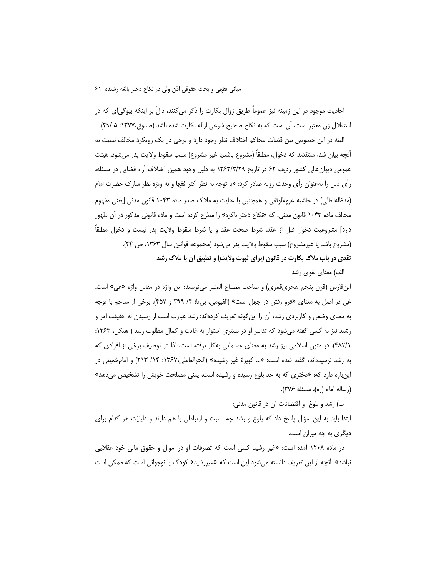احادیث موجود در این زمینه نیز عموماً طریق زوال بکارت را ذکر میکنند، دالّ بر اینکه بیوگی|ی که در استقلال زن معتبر است، آن است كه به نكاح صحيح شرعي ازاله بكارت شده باشد (صدوق،١٣٧٧: ۵ /٢٩).

البته در این خصوص بین قضات محاکم اختلاف نظر وجود دارد و برخی در یک رویکرد مخالف نسبت به آنچه بیان شد، معتقدند که دخول، مطلقاً (مشروع باشدیا غیر مشروع) سبب سقوط ولایت پدر می،شود. هیئت عمومی دیوان عالی کشور ردیف ۶۲ در تاریخ ۱۳۶۳/۳/۲۹ به دلیل وجود همین اختلاف آراء قضایی در مسئله، رأى ذيل را بهعنوان رأى وحدت رويه صادر كرد: «با توجه به نظر اكثر فقها و به ويژه نظر مبارك حضرت امام (مدظله|لعالی) در حاشیه عروة|لوثقی و همچنین با عنایت به ملاک صدر ماده ۱۰۴۳ قانون مدنی [یعنی مفهوم مخالف ماده ۱۰۴۳ قانون مدنی، که «نکاح دختر باکره» را مطرح کرده است و ماده قانونی مذکور در آن ظهور دارد] مشروعيت دخول قبل از عقد، شرط صحت عقد و يا شرط سقوط ولايت پدر نيست و دخول مطلقاً (مشروع باشد يا غيرمشروع) سبب سقوط ولايت پدر مي شود (مجموعه قوانين سال ١٣۶٣، ص ۴۴). نقدی در باب ملاک بکارت در قانون (برای ثبوت ولایت) و تطبیق آن با ملاک رشد

الف) معناي لغوي رشد

ابنفارس (قرن پنجم هجريقمري) و صاحب مصباح المنير ميiويسد: اين واژه در مقابل واژه «غي» است. غي در اصل به معناي «فرو رفتن در جهل است» (الفيومي، بي¤: ۴/ ٣٩٩ و ۴۵٧). برخي از معاجم با توجه به معنای وضعی و کاربردی رشد، آن را اینگونه تعریف کردهاند: رشد عبارت است از رسیدن به حقیقت امر و رشید نیز به کسی گفته میشود که تدابیر او در بستری استوار به غایت و کمال مطلوب رسد ( هیکل، ۱۳۶۳: ۴۸۲/۱). در متون اسلامی نیز رشد به معنای جسمانی به کار نرفته است، لذا در توصیف برخی از افرادی که به رشد نرسیدهاند، گفته شده است: «... کبیرهٔ غیر رشیده» (الحرالعاملی،۱۳۶۷: ۲۱۴/ ۲۱۳) و امامخمینی در این باره دارد که: «دختری که به حد بلوغ رسیده و رشیده است، یعنی مصلحت خویش را تشخیص میدهد» (رساله امام (ره)، مسئله ۳۷۶).

ب) رشد و بلوغ ٍ و اقتضائات أن در قانون مدنی:

ابتدا باید به این سؤال پاسخ داد که بلوغ و رشد چه نسبت و ارتباطی با هم دارند و دلیلیّت هر کدام برای دیگری به چه میزان است.

در ماده ۱۲۰۸ آمده است: «غیر رشید کسی است که تصرفات او در اموال و حقوق مالی خود عقلایی نباشد». أنچه از این تعریف دانسته میشود این است که «غیررشید» کودک یا نوجوانی است که ممکن است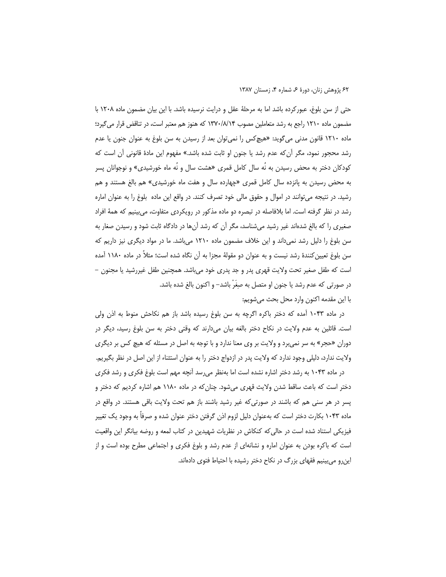حتی از سن بلوغ، عبورکرده باشد اما به مرحلهٔ عقل و درایت نرسیده باشد. با این بیان مضمون ماده ۱۲۰۸ با مضمون ماده ۱۲۱۰ راجع به رشد متعاملین مصوب ۱۳۷۰/۸/۱۴ که هنوز هم معتبر است، در تناقض قرار می گیرد؛ ماده ۱۲۱۰ قانون مدنی میگوید: «هیچکس را نمی¤وان بعد از رسیدن به سن بلوغ به عنوان جنون یا عدم رشد محجور نمود، مگر أن كه عدم رشد يا جنون او ثابت شده باشد.» مفهوم اين مادهٔ قانونی أن است كه کودکان دختر به محض رسیدن به نُه سال کامل قمری «هشت سال و نَه ماه خورشیدی» و نوجوانان پسر به محض رسیدن به پانزده سال کامل قمری «چهارده سال و هفت ماه خورشیدی» هم بالغ هستند و هم رشید. در نتیجه می توانند در اموال و حقوق مالی خود تصرف کنند. در واقع این ماده بلوغ را به عنوان اماره رشد در نظر گرفته است. اما بلافاصله در تبصره دو ماده مذکور در رویکردی متفاوت، میبینیم که همهٔ افراد صغیری را که بالغ شدهاند غیر رشید میشناسد، مگر آن که رشد آنها در دادگاه ثابت شود و رسیدن صغار به سن بلوغ را دلیل رشد نمیداند و این خلاف مضمون ماده ۱۲۱۰ میباشد. ما در مواد دیگری نیز داریم که سن بلوغ تعیین کنندهٔ رشد نیست و به عنوان دو مقولهٔ مجزا به آن نگاه شده است؛ مثلاً در ماده ۱۱۸۰ آمده است که طفل صغیر تحت ولایت قهری پدر و جد پدری خود میباشد. همچنین طفل غیررشید یا مجنون – در صورتی که عدم رشد یا جنون او متصل به صِغَرّ باشد– و اکنون بالغ شده باشد.

با اين مقدمه اكنون وارد محل بحث مي شويم:

در ماده ۱۰۴۳ آمده که دختر باکره اگرچه به سن بلوغ رسیده باشد باز هم نکاحش منوط به اذن ولی است. قائلین به عدم ولایت در نکاح دختر بالغه بیان میدارند که وقتی دختر به سن بلوغ رسید، دیگر در دوران «حجر» به سر نمی برد و ولایت بر وی معنا ندارد و با توجه به اصل در مسئله که هیچ کس بر دیگری ولايت ندارد، دليلي وجود ندارد كه ولايت پدر در ازدواج دختر را به عنوان استثناء از اين اصل در نظر بگيريم.

در ماده ۱۰۴۳ به رشد دختر اشاره نشده است اما بهنظر می سد آنچه مهم است بلوغ فکری و رشد فکری دختر است که باعث ساقط شدن ولایث قهری میشود. چنان که در ماده ۱۱۸۰ هم اشاره کردیم که دختر و پسر در هر سنی هم که باشند در صورتی که غیر رشید باشند باز هم تحت ولایت باقی هستند. در واقع در ماده ۱۰۴۳ بکارت دختر است که بهعنوان دلیل لزوم اذن گرفتن دختر عنوان شده و صرفاً به وجود یک تغییر فیزیکی استناد شده است در حالی که کنکاش در نظریات شهیدین در کتاب لمعه و روضه بیانگر این واقعیت است که باکره بودن به عنوان اماره و نشانهای از عدم رشد و بلوغ فکری و اجتماعی مطرح بوده است و از این رو می بینیم فقهای بزرگ در نکاح دختر رشیده با احتیاط فتوی دادهاند.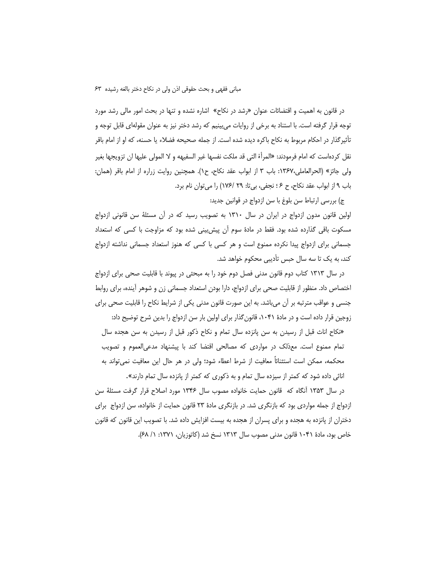در قانون به اهمیت و اقتضائات عنوان «رشد در نکاح» اشاره نشده و تنها در بحث امور مالی رشد مورد توجه قرار گرفته است. با استناد به برخی از روایات میبینیم که رشد دختر نیز به عنوان مقولهای قابل توجه و تأثير گذار در احكام مربوط به نكاح باكره ديده شده است. از جمله صحيحه فضلاء يا حسنه، كه او از امام باقر نقل كردهاست كه امام فرمودند: «المرأة التي قد ملكت نفسها غير السفيهه و لا المولى عليها ان تزويجها بغير ولي جائز» (الحرالعاملي،١٣۶٧: باب ٣ از ابواب عقد نكاح، ح١). همچنين روايت زراره از امام باقر (همان: باب ۹ از ابواب عقد نكاح، ح ۶ ؛ نجفى، بيتا: ۲۹ /۱۷۶) را مي توان نام برد.

ج) بررسی ارتباط سن بلوغ با سن ازدواج در قوانین جدید:

اولین قانون مدون ازدواج در ایران در سال ۱۳۱۰ به تصویب رسید که در آن مسئلهٔ سن قانونی ازدواج مسکوت باقی گذارده شده بود. فقط در مادهٔ سوم آن پیش بینی شده بود که مزاوجت با کسی که استعداد جسمانی برای ازدواج پیدا نکرده ممنوع است و هر کسی با کسی که هنوز استعداد جسمانی نداشته ازدواج کند، به یک تا سه سال حبس تأدیبی محکوم خواهد شد.

در سال ۱۳۱۳ کتاب دوم قانون مدنی فصل دوم خود را به مبحثی در پیوند با قابلیت صحی برای ازدواج اختصاص داد. منظور از قابلیت صحی برای ازدواج، دارا بودن استعداد جسمانی زن و شوهر آینده، برای روابط جنسی و عواقب مترتبه بر اًن می باشد. به این صورت قانون مدنی یکی از شرایط نکاح را قابلیت صحی برای زوجین قرار داده است و در مادهٔ ۱۰۴۱، قانون گذار برای اولین بار سن ازدواج را بدین شرح توضیح داد:

«نکاح اناث قبل از رسیدن به سن پانزده سال تمام و نکاح ذکور قبل از رسیدن به سن هجده سال تمام ممنوع است. معذلک در مواردی که مصالحی اقتضا کند با پیشنهاد مدعیالعموم و تصویب محکمه، ممکن است استثنائاً معافیت از شرط اعطاء شود؛ ولی در هر حال این معافیت نمی تواند به اناثی داده شود که کمتر از سیزده سال تمام و به ذکوری که کمتر از پانزده سال تمام دارند».

در سال ۱۳۵۳ أنگاه که قانون حمایت خانواده مصوب سال ۱۳۴۶ مورد اصلاح قرار گرفت مسئلهٔ سن ازدواج از جمله مواردی بود که بازنگری شد. در بازنگری مادهٔ ۲۳ قانون حمایت از خانواده، سن ازدواج برای دختران از پانزده به هجده و برای پسران از هجده به بیست افزایش داده شد. با تصویب این قانون که قانون خاص بود، مادة ١٠۴١ قانون مدنى مصوب سال ١٣١٣ نسخ شد (كاتوزيان، ١٣٧١: ١/ ۶٨).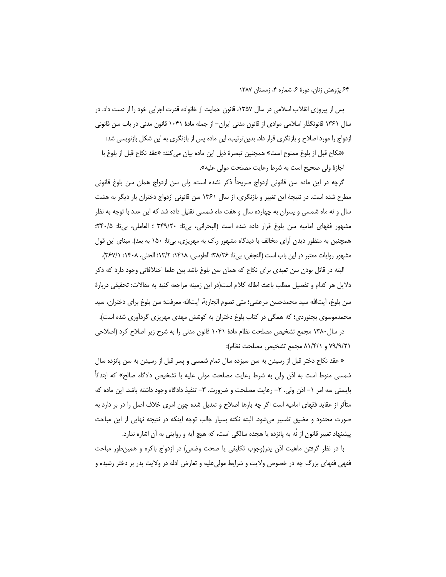پس از پیروزی انقلاب اسلامی در سال ۱۳۵۷، قانون حمایت از خانواده قدرت اجرایی خود را از دست داد. در سال ۱۳۶۱ قانونگذار اسلامی موادی از قانون مدنی ایران– از جمله مادهٔ ۱۰۴۱ قانون مدنی در باب سن قانونی ازدواج را مورد اصلاح و بازنگری قرار داد. بدین ترتیب، این ماده پس از بازنگری به این شکل بازنویسی شد:

«نكاح قبل از بلوغ ممنوع است» همچنين تبصرهٔ ذيل اين ماده بيان مي كند: «عقد نكاح قبل از بلوغ با اجازهٔ ولی صحیح است به شرط رعایت مصلحت مولی علیه».

گرچه در این ماده سن قانونی ازدواج صریحاً ذکر نشده است، ولی سن ازدواج همان سن بلوغ قانونی مطرح شده است. در نتیجهٔ این تغییر و بازنگری، از سال ۱۳۶۱ سن قانونی ازدواج دختران بار دیگر به هشت سال و نه ماه شمسی و پسران به چهارده سال و هفت ماه شمسی تقلیل داده شد که این عدد با توجه به نظر مشهور فقهاى اماميه سن بلوغ قرار داده شده است (البحراني، بيir: ٣٣٩/٢٠؛ العاملي، بيir: ٢٤٠/٥؛ همچنین به منظور دیدن آرای مخالف با دیدگاه مشهور ر.ک به مهریزی، بیتا: ۱۵۰ به بعد). مبنای این قول مشهور روايات معتبر در اين باب است (النجفي، بي¤: ٢٨/٢۶؛ الطوسي، ١٤١٨: ٢١٢/٢؛ الحلي، ١٤٠٨: ٣۶٧/١).

البته در قائل بودن سن تعبدی برای نکاح که همان سن بلوغ باشد بین علما اختلافاتی وجود دارد که ذکر دلایل هر کدام و تفصیل مطلب باعث اطاله کلام است(در این زمینه مراجعه کنید به مقالات: تحقیقی دربارهٔ سن بلوغ، آيتالله سيد محمدحسن مرعشي؛ متى تصوم الجارية، آيتالله معرفت؛ سن بلوغ براي دختران، سيد محمدموسوی بجنوردی؛ که همگی در کتاب بلوغ دختران به کوشش مهدی مهریزی گردآوری شده است).

در سال ۱۳۸۰ مجمع تشخیص مصلحت نظام مادهٔ ۱۰۴۱ قانون مدنی را به شرح زیر اصلاح کرد (اصلاحی ٧٩/٩/٢١ و ٨١/٤/١ مجمع تشخيص مصلحت نظام):

« عقد نكاح دختر قبل از رسيدن به سن سيزده سال تمام شمسي و پسر قبل از رسيدن به سن پانزده سال شمسی منوط است به اذن ولی به شرط رعایت مصلحت مولی علیه با تشخیص دادگاه صالح» که ابتدائاً بایستی سه امر ١– اذن ولی. ٢– رعایت مصلحت و ضرورت. ٣– تنفیذ دادگاه وجود داشته باشد. این ماده که متأثر از عقاید فقهای امامیه است اگر چه بارها اصلاح و تعدیل شده چون امری خلاف اصل را در بر دارد به صورت محدود و مضيق تفسير ميشود. البته نكته بسيار جالب توجه اينكه در نتيجه نهايي از اين مباحث پیشنهاد تغییر قانون از نُه به پانزده یا هجده سالگی است، که هیچ آیه و روایتی به آن اشاره ندارد.

با در نظر گرفتن ماهیت اذن پدر(وجوب تکلیفی یا صحت وضعی) در ازدواج باکره و همینطور مباحث فقهی فقهای بزرگ چه در خصوص ولایت و شرایط مولیءلیه و تعارض ادله در ولایت پدر بر دختر رشیده و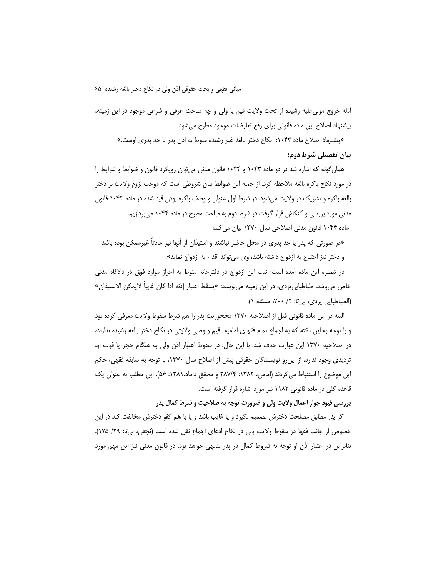ادله خروج مولى عليه رشيده از تحت ولايت قيم يا ولى و چه مباحث عرفى و شرعى موجود در اين زمينه، پیشنهاد اصلاح این ماده قانونی برای رفع تعارضات موجود مطرح میشود:

«پیشنهاد اصلاح ماده ۱۰۴۳: نكاح دختر بالغه غیر رشیده منوط به اذن پدر یا جد پدری اوست.» بیان تفصیلی شرط دوم:

همان گونه که اشاره شد در دو ماده ۱۰۴۳ و ۱۰۴۴ قانون مدنی می توان رویکرد قانون و ضوابط و شرایط را در مورد نكاح باكره بالغه ملاحظه كرد. از جمله اين ضوابط بيان شروطي است كه موجب لزوم ولايت بر دختر بالغه باکره و تشریک در ولایت میشود. در شرط اول عنوان و وصف باکره بودن قید شده در ماده ۱۰۴۳ قانون مدنی مورد بررسی و کنکاش قرار گرفت در شرط دوم به مباحث مطرح در ماده ۱۰۴۴ میپردازیم. ماده ۱۰۴۴ قانون مدنی اصلاحی سال ۱۳۷۰ بیان می کند:

«در صورتی که پدر یا جد پدری در محل حاضر نباشند و استیذان از آنها نیز عادتاً غیرممکن بوده باشد و دختر نيز احتياج به ازدواج داشته باشد، وي مي تواند اقدام به ازدواج نمايد».

در تبصره این ماده آمده است: ثبت این ازدواج در دفترخانه منوط به احراز موارد فوق در دادگاه مدنی خاص مىباشد. طباطبايىيزدى، در اين زمينه مىنويسد: «يسقط اعتبار إذنه اذا كان غايباً لايمكن الاستيذان» (الطباطبايي يزدي، بي تا: ٢/ ٧٠٠، مسئله ١).

البته در این ماده قانونی قبل از اصلاحیه ۱۳۷۰ محجوریت پدر را هم شرط سقوط ولایت معرفی کرده بود و با توجه به این نکته که به اجماع تمام فقهای امامیه قیم و وصی ولایتی در نکاح دختر بالغه رشیده ندارند، در اصلاحیه ۱۳۷۰ این عبارت حذف شد. با این حال، در سقوط اعتبار اذن ولی به هنگام حجر یا فوت او، تردیدی وجود ندارد. از این رو نویسندگان حقوقی پیش از اصلاح سال ۱۳۷۰، با توجه به سابقه فقهی، حکم این موضوع را استنباط می کردند (امامی، ۱۳۸۲: ۲۸۷/۴ و محقق داماد،۱۳۸۱: ۵۶). این مطلب به عنوان یک قاعده کلی در ماده قانونی ۱۱۸۲ نیز مورد اشاره قرار گرفته است.

بررسی قیود جواز اعمال ولایت ولی و ضرورت توجه به صلاحیت و شرط کمال پدر

اگر پدر مطابق مصلحت دخترش تصمیم نگیرد و یا غایب باشد و یا با هم کفو دخترش مخالفت کند در این خصوص از جانب فقها در سقوط ولايت ولى در نكاح ادعاى اجماع نقل شده است (نجفى، بيir: ٢٩/ ١٧۵). بنابراین در اعتبار اذن او توجه به شروط کمال در پدر بدیهی خواهد بود. در قانون مدنی نیز این مهم مورد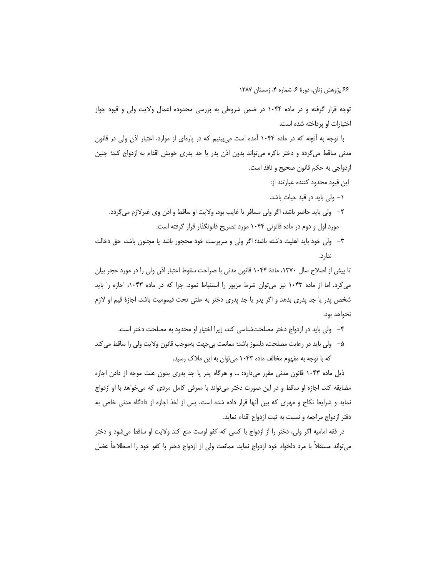توجه قرار گرفته و در ماده ۱۰۴۴ در ضمن شروطی به بررسی محدوده اعمال ولایت ولی و قیود جواز اختیارات او پرداخته شده است.

با توجه به آنچه که در ماده ۱۰۴۴ آمده است میبینیم که در پارهای از موارد، اعتبار اذن ولی در قانون مدنی ساقط میگردد و دختر باکره می¤واند بدون اذن پدر یا جد پدری خویش اقدام به ازدواج کند؛ چنین ازدواجي به حكم قانون صحيح و نافذ است.

- این قیود محدود کننده عبارتند از:
- ۱– ولی باید در قید حیات باشد.
- ٢– ولي بايد حاضر باشد، اگر ولي مسافر يا غايب بود، ولايت او ساقط و اذن وي غيرلازم ميگردد. مورد اول و دوم در ماده قانونی ۱۰۴۴ مورد تصریح قانونگذار قرار گرفته است.
- ٣– ولي خود بايد اهليت داشته باشد؛ اگر ولي و سرپرست خود محجور باشد يا مجنون باشد، حق دخالت ندار د.

تا پیش از اصلاح سال ۱۳۷۰، مادهٔ ۱۰۴۴ قانون مدنی با صراحت سقوط اعتبار اذن ولی را در مورد حجر بیان می کرد. اما از ماده ۱۰۴۳ نیز می توان شرط مزبور را استنباط نمود. چرا که در ماده ۱۰۴۳، اجازه را باید شخص پدر یا جد پدری بدهد و اگر پدر یا جد پدری دختر به علتی تحت قیمومیت باشد، اجازهٔ قیم او لازم نخواهد بود.

- ۴- ولی باید در ازدواج دختر مصلحتشناسی کند، زیرا اختیار او محدود به مصلحت دختر است.
- ۵– ولی باید در رعایت مصلحت، دلسوز باشد؛ ممانعت بی جهت بهموجب قانون ولایت ولی را ساقط می کند که با توجه به مفهوم مخالف ماده ۱۰۴۳ می توان به این ملاک رسید.

ذیل ماده ۱۰۴۳ قانون مدنی مقرر میدارد: … و هرگاه پدر یا جد پدری بدون علت موجه از دادن اجازه مضايقه كند، اجازه او ساقط و در اين صورت دختر مي¤واند با معرفي كامل مردي كه ميخواهد با او ازدواج نماید و شرایط نکاح و مهری که بین آنها قرار داده شده است، پس از اخذ اجازه از دادگاه مدنی خاص به دفتر ازدواج مراجعه و نسبت به ثبت ازدواج اقدام نمايد.

در فقه امامیه اگر ولی، دختر را از ازدواج با کسی که کفو اوست منع کند ولایت او ساقط میشود و دختر می تواند مستقلاً با مرد دلخواه خود ازدواج نماید. ممانعت ولی از ازدواج دختر با کفو خود را اصطلاحاً عضل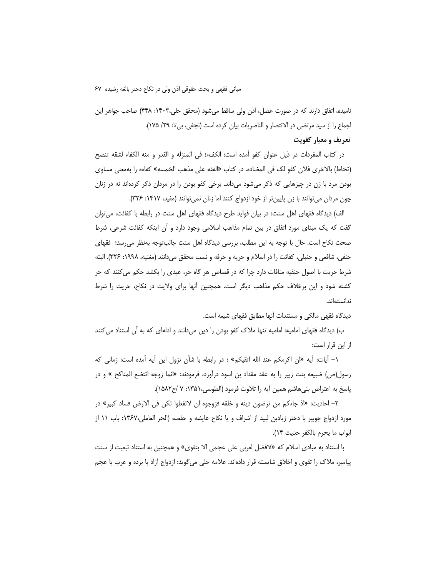نامیده، اتفاق دارند که در صورت عضل، اذن ولی ساقط میشود (محقق حلی،۱۴۰۳: ۴۴۸) صاحب جواهر این اجماع را از سيد مرتضى در الانتصار و الناصريات بيان كرده است (نجفى، بي¤: ٢٩/ ١٧۵). تعریف و معیار کفویت

در كتاب المفردات در ذيل عنوان كفو أمده است: الكفء؛ في المنزله و القدر و منه الكفاء لشقه تنصح (تخاط) بالاخرى فلان كفو لك في المضاده. در كتاب «الفقه على مذهب الخمسه» كفاءه را بهمعنى مساوى بودن مرد با زن در چیزهایی که ذکر میشود میداند. برخی کفو بودن را در مردان ذکر کردهاند نه در زنان چون مردان می توانند با زن پایین تر از خود ازدواج کنند اما زنان نمی توانند (مفید، ۱۴۱۷: ۳۲۶).

الف) دیدگاه فقهای اهل سنت: در بیان فواید طرح دیدگاه فقهای اهل سنت در رابطه با کفائت، می توان گفت که یک مبنای مورد اتفاق در بین تمام مذاهب اسلامی وجود دارد و آن اینکه کفائت شرعی، شرط صحت نکاح است. حال با توجه به این مطلب، بررسی دیدگاه اهل سنت جالبتوجه بهنظر میرسد؛ فقهای حنفي، شافعي و حنبلي، كفائت را در اسلام و حريه و حرفه و نسب محقق مي دانند (مغنيه، ١٩٩٨: ٣٢۶). البته شرط حریت با اصول حنفیه منافات دارد چرا که در قصاص هر گاه حر، عبدی را بکشد حکم می کنند که حر کشته شود و این برخلاف حکم مذاهب دیگر است. همچنین آنها برای ولایت در نکاح، حریت را شرط ندانستهاند.

دیدگاه فقهی مالکی و مستندات آنها مطابق فقهای شیعه است.

ب) دیدگاه فقهای امامیه: امامیه تنها ملاک کفو بودن را دین میدانند و ادلهای که به آن استناد می کنند از این قرار است:

١– أيات: أيه «ان اكرمكم عند الله اتقيكم» : در رابطه با شأن نزول اين أيه أمده است: زماني كه رسول(ص) ضبیعه بنت زبیر را به عقد مقداد بن اسود درآورد، فرمودند: «انما زوجه اتتضع المناکح » و در ياسخ به اعتراض بني هاشم همين آيه را تلاوت فرمود (الطوسي،١٣۵١: ٧ /ح١٥٨٢).

٢– احاديث: «اذ جاءكم من ترضون دينه و خلقه فزوجوه ان لاتفعلوا تكن في الارض فساد كبير» در مورد ازدواج جوبیر با دختر زیادبن لبید از اشراف و یا نکاح عایشه و حفصه (الحر العاملی،۱۳۶۷: باب ۱۱ از ابواب ما يحرم بالكفر حديث ١۴).

با استناد به مبادی اسلام که «لافضل لعربی علی عجمی الا بتقوی» و همچنین به استناد تبعیت از سنت پیامبر، ملاک را تقوی و اخلاق شایسته قرار دادهاند. علامه حلی میگوید: ازدواج أزاد با برده و عرب با عجم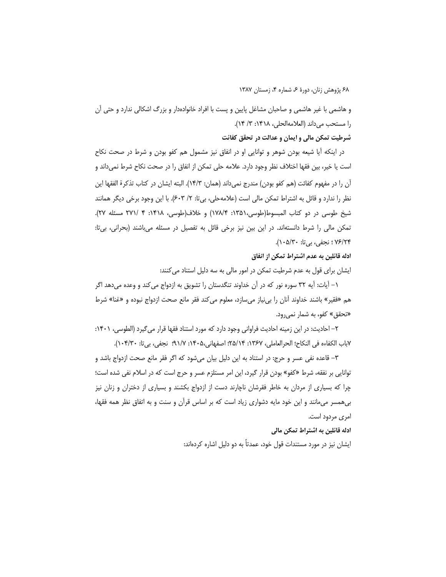و هاشمی با غیر هاشمی و صاحبان مشاغل پایین و پست با افراد خانوادهدار و بزرگ اشکالی ندارد و حتی آن را مستحب مى داند (العلامه الحلي، ١٣١٨: ٣/ ١٤).

شرطیت تمکن مالی و ایمان و عدالت در تحقق کفائت

در اینکه آیا شیعه بودن شوهر و توانایی او در انفاق نیز مشمول هم کفو بودن و شرط در صحت نکاح است یا خیر، بین فقها اختلاف نظر وجود دارد. علامه حلی تمکن از انفاق را در صحت نکاح شرط نمیداند و أن را در مفهوم كفائت (هم كفو بودن) مندرج نميداند (همان: ١۴/٣). البته ايشان در كتاب تذكرة الفقها اين نظر را ندارد و قائل به اشتراط تمکن مالی است (علامهحلی، بیiت: ۲/ ۶۰۳). با این وجود برخی دیگر همانند شيخ طوسي در دو كتاب المبسوط(طوسي،١٣۵١: ١٧٨/۴) و خلاف(طوسي، ١٤١٨: ۴ /٢٧١ مسئله ٢٧). تمکن مالی را شرط دانستهاند. در این بین نیز برخی قائل به تفصیل در مسئله میباشند (بحرانی، بیتا: ۷۶/۲۴ ؛ نجفی، بی تا: ۱۰۵/۲۰).

### ادله قائلین به عدم اشتراط تمکن از انفاق

ایشان برای قول به عدم شرطیت تمکن در امور مالی به سه دلیل استناد می کنند:

١– آيات: آيه ٣٢ سوره نور كه در آن خداوند تنگدستان را تشويق به ازدواج مي كند و وعده مي دهد اگر هم «فقير» باشند خداوند آنان را بيiياز ميسازد، معلوم مي كند فقر مانع صحت ازدواج نبوده و «غنا» شرط «تحقق» کفو، به شمار نمی رود.

۲– احادیث: در این زمینه احادیث فراوانی وجود دارد که مورد استناد فقها قرار می گیرد (الطوسی، ۱۴۰۱: ٧باب الكفاءه في النكاح؛ الحرالعاملي، ١٣۶٧: ٢٥/١۴؛ اصفهاني،١٤٠٥: ٩١/٧؛ نجفي، بي تا: ١٠۴/٣٠).

٣– قاعده نفي عسر و حرج: در استناد به اين دليل بيان ميشود كه اگر فقر مانع صحت ازدواج باشد و توانایی بر نفقه، شرط «کفو» بودن قرار گیرد، این امر مستلزم عسر و حرج است که در اسلام نفی شده است؛ چرا که بسیاری از مردان به خاطر فقرشان ناچارند دست از ازدواج بکشند و بسیاری از دختران و زنان نیز بی همسر می مانند و این خود مایه دشواری زیاد است که بر اساس قرآن و سنت و به اتفاق نظر همه فقها، امری مردود است.

ادله قائلین به اشتراط تمکن مالی

ایشان نیز در مورد مستندات قول خود، عمدتاً به دو دلیل اشاره کردهاند: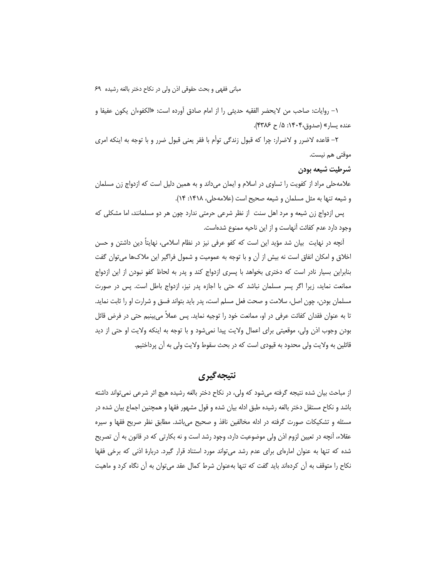١- روايات: صاحب من لايحضر الفقيه حديثي را از امام صادق أورده است: «الكفوءان يكون عفيفا و عنده يسار» (صدوق،۱۴۰۴: ۵/ ح ۴۳۸۶).

۲– قاعده لاضرر و لاضرار: چرا که قبول زندگی توأم با فقر یعنی قبول ضرر و با توجه به اینکه امری موقتی هم نیست.

### شرطيت شيعه بودن

علامهحلی مراد از کفویت را تساوی در اسلام و ایمان میداند و به همین دلیل است که ازدواج زن مسلمان و شیعه تنها به مثل مسلمان و شیعه صحیح است (علامه حلی، ۱۴۱۸: ۱۴).

پس ازدواج زن شیعه و مرد اهل سنت از نظر شرعی حرمتی ندارد چون هر دو مسلمانند، اما مشکلی که وجود دارد عدم كفائت آنهاست و از اين ناحيه ممنوع شدهاست.

آنچه در نهایت بیان شد مؤید این است که کفو عرفی نیز در نظام اسلامی، نهایتاً دین داشتن و حسن اخلاق و امکان انفاق است نه بیش از آن و با توجه به عمومیت و شمول فراگیر این ملاکها می توان گفت بنابراین بسیار نادر است که دختری بخواهد با پسری ازدواج کند و پدر به لحاظ کفو نبودن از این ازدواج ممانعت نماید، زیرا اگر پسر مسلمان نباشد که حتی با اجازه پدر نیز، ازدواج باطل است. پس در صورت مسلمان بودن، چون اصل، سلامت و صحت فعل مسلم است، پدر باید بتواند فسق و شرارت او را ثابت نماید. تا به عنوان فقدان كفائت عرفي در او، ممانعت خود را توجيه نمايد. پس عملاً مي بينيم حتى در فرض قائل بودن وجوب اذن ولي، موقعيتي براي اعمال ولايت پيدا نمي شود و با توجه به اينكه ولايت او حتى از ديد قائلین به ولایت ولی محدود به قیودی است که در بحث سقوط ولایت ولی به آن پرداختیم.

# نتيجه گيري

از مباحث بیان شده نتیجه گرفته میشود که ولی، در نکاح دختر بالغه رشیده هیچ اثر شرعی نمی تواند داشته باشد و نكاح مستقل دختر بالغه رشيده طبق ادله بيان شده و قول مشهور فقها و همچنين اجماع بيان شده در مسئله و تشکیکات صورت گرفته در ادله مخالفین نافذ و صحیح میباشد. مطابق نظر صریح فقها و سیره عقلاء، آنچه در تعیین لزوم اذن ولی موضوعیت دارد، وجود رشد است و نه بکارتی که در قانون به آن تصریح شده که تنها به عنوان امارهای برای عدم رشد می تواند مورد استناد قرار گیرد. دربارهٔ اذنی که برخی فقها نکاح را متوقف به آن کردهاند باید گفت که تنها بهعنوان شرط کمال عقد می توان به آن نگاه کرد و ماهیت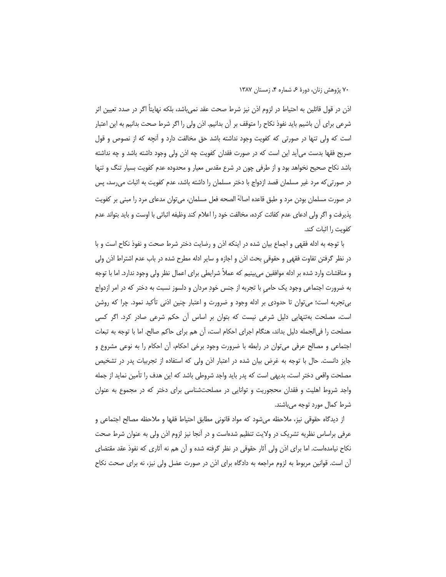اذن در قول قائلین به احتیاط در لزوم اذن نیز شرط صحت عقد نمی،باشد، بلکه نهایتاً اگر در صدد تعیین اثر شرعی برای آن باشیم باید نفوذ نکاح را متوقف بر آن بدانیم. اذن ولی را اگر شرط صحت بدانیم به این اعتبار است که ولی تنها در صورتی که کفویت وجود نداشته باشد حق مخالفت دارد و آنچه که از نصوص و قول صریح فقها بدست می∫ید این است که در صورت فقدان کفویت چه اذن ولی وجود داشته باشد و چه نداشته باشد نکاح صحیح نخواهد بود و از طرفی چون در شرع مقدس معیار و محدوده عدم کفویت بسیار تنگ و تنها در صورتی که مرد غیر مسلمان قصد ازدواج با دختر مسلمان را داشته باشد، عدم کفویت به اثبات میرسد، پس در صورت مسلمان بودن مرد و طبق قاعده اصالة الصحه فعل مسلمان، مي¤وان مدعاي مرد را مبنى بر كفويت یذیرفت و اگر ولی ادعای عدم کفائت کرده، مخالفت خود را اعلام کند وظیفه اثباتی با اوست و باید بتواند عدم كفويت را اثبات كند.

با توجه به ادله فقهی و اجماع بیان شده در اینکه اذن و رضایت دختر شرط صحت و نفوذ نکاح است و با در نظر گرفتن تفاوت فقهی و حقوقی بحث اذن و اجازه و سایر ادله مطرح شده در باب عدم اشتراط اذن ولی و مناقشات وارد شده بر ادله موافقین می،پینیم که عملاً شرایطی برای اعمال نظر ولی وجود ندارد. اما با توجه به ضرورت اجتماعی وجود یک حامی با تجربه از جنس خودِ مردان و دلسوز نسبت به دختر که در امر ازدواج بی تجربه است؛ می توان تا حدودی بر ادله وجود و ضرورت و اعتبار چنین اذنی تأکید نمود. چرا که روشن است، مصلحت بهتنهایی دلیل شرعی نیست که بتوان بر اساس آن حکم شرعی صادر کرد. اگر کسی مصلحت را في|لجمله دليل بداند، هنگام اجراي احكام است، آن هم براي حاكم صالح. اما با توجه به تبعات اجتماعي و مصالح عرفي مي توان در رابطه با ضرورت وجود برخي احكام، آن احكام را به نوعي مشروع و جایز دانست. حال با توجه به غرض بیان شده در اعتبار اذن ولی که استفاده از تجربیات پدر در تشخیص مصلحت واقعی دختر است، بدیهی است که پدر باید واجد شروطی باشد که این هدف را تأمین نماید از جمله واجد شروط اهلیت و فقدان محجوریت و توانایی در مصلحتشناسی برای دختر که در مجموع به عنوان شرط کمال مورد توجه میباشند.

از دیدگاه حقوقی نیز، ملاحظه میشود که مواد قانونی مطابق احتیاط فقها و ملاحظه مصالح اجتماعی و عرفی براساس نظریه تشریک در ولایت تنظیم شدهاست و در آنجا نیز لزوم اذن ولی به عنوان شرط صحت نکاح نیامدهاست. اما برای اذن ولی أثار حقوقی در نظر گرفته شده و آن هم نه آثاری که نفوذ عقد مقتضای آن است. قوانین مربوط به لزوم مراجعه به دادگاه برای اذن در صورت عضل ولی نیز، نه برای صحت نکاح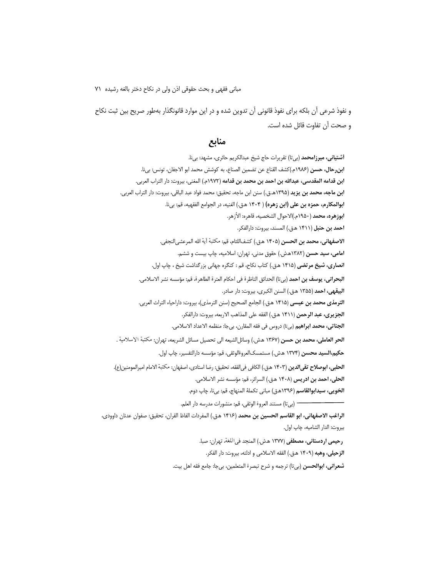و نفوذ شرعی أن بلکه برای نفوذ قانونی أن تدوین شده و در این موارد قانونگذار بهطور صریح بین ثبت نکاح و صحت أن تفاوت قائل شده است.

## منابع

أشتياني، ميرزامحمد (بيتا) تقريرات حاج شيخ عبدالكريم حائري، مشهد: بيi. ابن رحال، حسن (١٩٨۶م.)كشف القناع عن تضمين الصناع، به كوشش محمد ابو الاجفان، تونس: بيil. ابن قدامه المقدسي، عبدالله بن احمد بن محمد بن قدامه (١٩٧٢م.) المغني، بيروت: دار التراب العربي. **ابن ماجه، محمد بن يزيد** (١٣٩۵هـ.ق.) سنن ابن ماجه، تحقيق: محمد فواد عبد الباقي، بيروت: دار التراب العربي. ابوالمكارم، حمزه بن على (ابن زهره) ( ۱۴۰۴ ه.ق.) الغنيه، در الجوامع الفقهيه، قم: بيil. ا**بوزهره، محمد** (١٩۵٠م.)الاحوال الشخصيه، قاهره: الأزهر. احمد بن حنبل (١۴١١ هـق.) المسند، بيروت: دارالفكر. الاصفهاني، محمد بن الحسن (١۴٠۵ هـق.) كشفاللثام، قم: مكتبة آية الله المرعشي|لنجفي. امامی، سید حسن (۱۳۸۲هش.) حقوق مدنی، تهران: اسلامیه، چاپ بیست و ششم. **انصاري، شيخ مرتضي** (١۴١۵ هـق.) كتاب نكاح، قم : كنگره جهاني بزرگداشت شيخ ، چاپ اول. **البحراني، يوسف بن احمد** (بي تا) الحدائق الناظرة في احكام العترة الطاهرة، قم: مؤسسه نشر الاسلامي. البيقهي، احمد (١٣۵۵ هـق.) السنن الكبرى، بيروت: دار صادر. **الترمذي محمد بن عيسى** (١۴١۵ هـق.) الجامع الصحيح (سنن الترمذي)، بيروت: داراحياء التراث العربي. **الجزيري، عبد الرحمن** (١۴١١ هـق.) الفقه على المذاهب الاربعه، بيروت: دارالفكر. **الجناتي، محمد ابراهيم** (بيتا) دروس في فقه المقارن، بيجا: منظمه الاعداد الاسلامي. الحر العاملي، محمد بن حسن (١٣۶٧ ه.ش.) وسائلالشيعه الى تحصيل مسائل الشريعه، تهران: مكتبة الاسلامية . حكيم،السيد محسن (١٣٧۴ ه.ش.) مستمسكالعروةالوثقى، قم: مؤسسه دارالتفسير، چاپ اول. **الحلبي، ابوصلاح تقي الدين (١۴٠٣** هـق.) الكافي في الفقه، تحقيق: رضا استادي، اصفهان: مكتبة الامام اميرالمومنين(ع). الحلي، احمد بن ادريس (١٤٠٨ هـق.) السرائر، قم: مؤسسه نشر الاسلامي. **الخويي، سيدابوالقاسم** (١٣٩۶هـق) مباني تكملة المنهاج، قم: بيiا، چاپ دوم. الراغب الاصفهاني، ابو القاسم الحسين بن محمد (١۴١۶ هـق.) المفردات الفاظ القران، تحقيق: صفوان عدنان داوودي، بيروت: الدار الشاميه، چاپ اول. رحيمي اردستاني، مصطفى (١٣٧٧ هش.) المنجد في اللغة، تهران: صبا.

الزحيلي، وهبه (١۴٠٩ هـق.) الفقه الاسلامي و ادلته، بيروت: دار الفكر.

شعراني، ابوالحسن (بيتا) ترجمه و شرح تبصرة المتعلمين، بيجا: جامع فقه اهل بيت.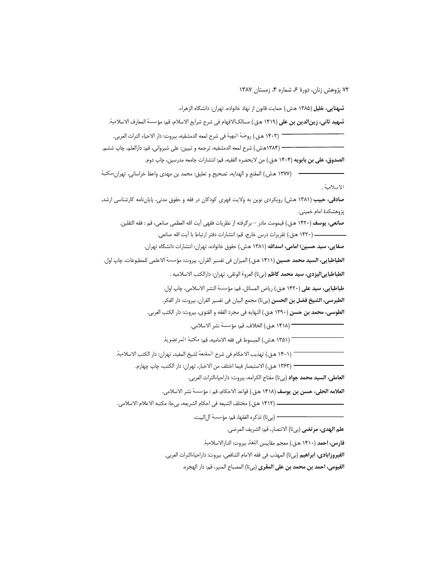**شهنایی، خلیل** (۱۳۸۵ هش.) حمایت قانون از نهاد خانواده، تهران: دانشگاه الزهراء.

**شهيد ثاني، زينالدين بن علي (١۴١**٩ هـق.) مسالكالافهام في شرح شرايع الاسلام، قم: مؤسسة المعارف الاسلامية.

— (١۴٠٣ هـق.) روضة البهية في شرح لمعه الدمشقيه، بيروت: دار الاحياء التراث العربي. — (١٣٨۴هش.) شرح لمعه الدمشقيه، ترجمه و تبيين: على شيرواني، قم: دارالعلم، چاپ ششم.

**الصدوق، على بن بابويه** (۱۴۰۴ هق.) من لايحضره الفقيه، قم: انتشارات جامعه مدرسين، چاپ دوم.

——— (١٣٧٧ هش.) المقنع و الهدايه، تصحيح و تعليق: محمد بن مهدى واعظ خراساني، تهران:مكتبة الاسلامية .

صادقی، حبیب (۱۳۸۱ هش) رویکردی نوین به ولایت قهری کودکان در فقه و حقوق مدنی، پایاننامه کارشناسی ارشد، پژوهشکدهٔ امام خمینی.

**صانعي، يوسف** (١۴٢٠ ه.ق.) قيمومت مادر – برگرفته از نظريات فقهي آيت الله العظمي صانعي، قم : فقه الثقلين. 

صفايي، سيد حسين؛ امامي، اسدالله (١٣٨١ هش.) حقوق خانواده، تهران: انتشارات دانشگاه تهران.

الطباطبايي، السيد محمد حسين (١۴١١ هـق.) الميزان في تفسير القران، بيروت: مؤسسة الاعلمي للمطبوعات، چاپ اول. **الطباطبايي|ليزدي، سيد محمد كاظم** (بيتا) العروة الوثقي، تهران: دارالكتب الاسلاميه .

> طباطبايي، سيد على (١۴٢٠ ه.ق.) رياض المسائل، قم: مؤسسة النشر الاسلامي، چاپ اول. **الطبرسي، الشيخ فضل بن الحسن** (بيتا) مجمع البيان في تفسير القران، بيروت: دار الفكر.

الطوسي، محمد بن حسن (١٣٩٠ هـق.) النهايه في مجرد الفقه و الفتوى، بيروت: دار الكتب العربي.

— (١۴١٨ ه.ق.) الخلاف، قم: مؤسسة نشر الاسلامي.

( ١٣۵١ ه.ش.) المبسوط في فقه الاماميه، قم: مكتبة المرتضوية.

\_<br>¬ (١۴٠١ هـق.) تهذيب الاحكام في شرح المقنعة لشيخ المفيد، تهران: دار الكتب الاسلامية.

— (١٣۶٣ هـق.) الاستبصار فيما اختلف من الاخبار، تهران: دار الكتب، چاپ چهارم.

**العاملي، السيد محمد جواد** (بي¤ا) مفتاح الكرامه، بيروت: داراحياءالتراث العربي.

العلامه الحلي، حسن بن يوسف (١۴١٨ ه.ق.) قواعد الاحكام، قم : مؤسسة نشر الاسلامي.

— (بي تا) تذكره الفقها، قم: مؤسسة آلالبيت.

علم الهدي، مرتضى (بيتا) الانتصار، قم: الشريف المرضى.

فارس، احمد (١۴١٠ هـق.) معجم مقاييس اللغة، بيروت: الدارالاسلامية.

الفيروزابادي، ابراهيم (بي تا) المهذب في فقه الامام الشافعي، بيروت: داراحياءالتراث العربي.

**الفيومي، احمد بن محمد بن على المقرى** (بي¤) المصباح المنير، قم: دار الهجره.